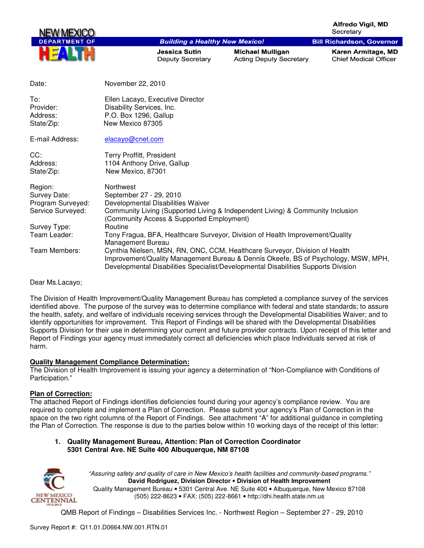**Alfredo Vigil, MD** Secretary

**Bill Richardson, Governor** 



#### **Building a Healthy New Mexico!**

Jessica Sutin Deputy Secretary

**Michael Mulligan Acting Deputy Secretary** 

Karen Armitage, MD **Chief Medical Officer** 

| Date:                                                                                                              | November 22, 2010                                                                                                                                                                                                                                                                                                                                                                                                                                                                                                                                                                           |
|--------------------------------------------------------------------------------------------------------------------|---------------------------------------------------------------------------------------------------------------------------------------------------------------------------------------------------------------------------------------------------------------------------------------------------------------------------------------------------------------------------------------------------------------------------------------------------------------------------------------------------------------------------------------------------------------------------------------------|
| To:<br>Provider:<br>Address:<br>State/Zip:                                                                         | Ellen Lacayo, Executive Director<br>Disability Services, Inc.<br>P.O. Box 1296, Gallup<br>New Mexico 87305                                                                                                                                                                                                                                                                                                                                                                                                                                                                                  |
| E-mail Address:                                                                                                    | elacayo@cnet.com                                                                                                                                                                                                                                                                                                                                                                                                                                                                                                                                                                            |
| CC:<br>Address:<br>State/Zip:                                                                                      | <b>Terry Proffitt, President</b><br>1104 Anthony Drive, Gallup<br>New Mexico, 87301                                                                                                                                                                                                                                                                                                                                                                                                                                                                                                         |
| Region:<br>Survey Date:<br>Program Surveyed:<br>Service Surveyed:<br>Survey Type:<br>Team Leader:<br>Team Members: | Northwest<br>September 27 - 29, 2010<br>Developmental Disabilities Waiver<br>Community Living (Supported Living & Independent Living) & Community Inclusion<br>(Community Access & Supported Employment)<br><b>Routine</b><br>Tony Fragua, BFA, Healthcare Surveyor, Division of Health Improvement/Quality<br>Management Bureau<br>Cynthia Nielsen, MSN, RN, ONC, CCM, Healthcare Surveyor, Division of Health<br>Improvement/Quality Management Bureau & Dennis Okeefe, BS of Psychology, MSW, MPH,<br>Developmental Disabilities Specialist/Developmental Disabilities Supports Division |

Dear Ms.Lacayo;

The Division of Health Improvement/Quality Management Bureau has completed a compliance survey of the services identified above. The purpose of the survey was to determine compliance with federal and state standards; to assure the health, safety, and welfare of individuals receiving services through the Developmental Disabilities Waiver; and to identify opportunities for improvement. This Report of Findings will be shared with the Developmental Disabilities Supports Division for their use in determining your current and future provider contracts. Upon receipt of this letter and Report of Findings your agency must immediately correct all deficiencies which place Individuals served at risk of harm.

### **Quality Management Compliance Determination:**

The Division of Health Improvement is issuing your agency a determination of "Non-Compliance with Conditions of Participation."

### **Plan of Correction:**

The attached Report of Findings identifies deficiencies found during your agency's compliance review. You are required to complete and implement a Plan of Correction. Please submit your agency's Plan of Correction in the space on the two right columns of the Report of Findings. See attachment "A" for additional guidance in completing the Plan of Correction. The response is due to the parties below within 10 working days of the receipt of this letter:

### **1. Quality Management Bureau, Attention: Plan of Correction Coordinator 5301 Central Ave. NE Suite 400 Albuquerque, NM 87108**



"Assuring safety and quality of care in New Mexico's health facilities and community-based programs." **David Rodriguez, Division Director** • **Division of Health Improvement**  Quality Management Bureau • 5301 Central Ave. NE Suite 400 • Albuquerque, New Mexico 87108 (505) 222-8623 • FAX: (505) 222-8661 • http://dhi.health.state.nm.us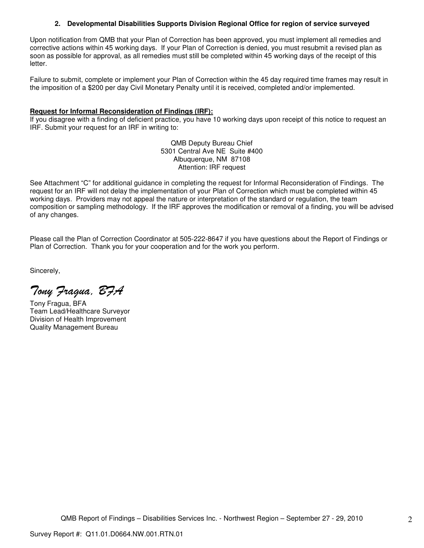### **2. Developmental Disabilities Supports Division Regional Office for region of service surveyed**

Upon notification from QMB that your Plan of Correction has been approved, you must implement all remedies and corrective actions within 45 working days. If your Plan of Correction is denied, you must resubmit a revised plan as soon as possible for approval, as all remedies must still be completed within 45 working days of the receipt of this letter.

Failure to submit, complete or implement your Plan of Correction within the 45 day required time frames may result in the imposition of a \$200 per day Civil Monetary Penalty until it is received, completed and/or implemented.

### **Request for Informal Reconsideration of Findings (IRF):**

If you disagree with a finding of deficient practice, you have 10 working days upon receipt of this notice to request an IRF. Submit your request for an IRF in writing to:

> QMB Deputy Bureau Chief 5301 Central Ave NE Suite #400 Albuquerque, NM 87108 Attention: IRF request

See Attachment "C" for additional guidance in completing the request for Informal Reconsideration of Findings. The request for an IRF will not delay the implementation of your Plan of Correction which must be completed within 45 working days. Providers may not appeal the nature or interpretation of the standard or regulation, the team composition or sampling methodology. If the IRF approves the modification or removal of a finding, you will be advised of any changes.

Please call the Plan of Correction Coordinator at 505-222-8647 if you have questions about the Report of Findings or Plan of Correction. Thank you for your cooperation and for the work you perform.

Sincerely,

Tony Fragua, BFA

Tony Fragua, BFA Team Lead/Healthcare Surveyor Division of Health Improvement Quality Management Bureau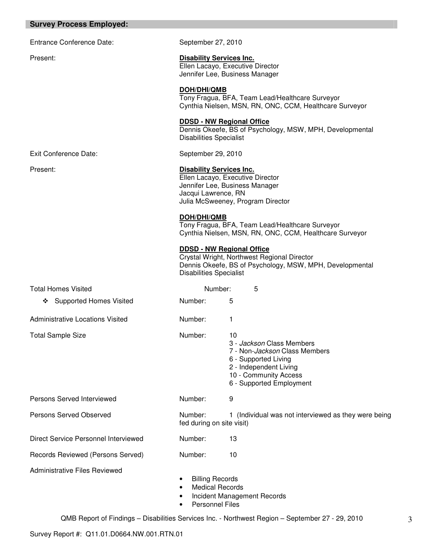### **Survey Process Employed:**

Entrance Conference Date: September 27, 2010

### Present: **Disability Services Inc.** Ellen Lacayo, Executive Director

Jennifer Lee, Business Manager

### **DOH/DHI/QMB**

Tony Fragua, BFA, Team Lead/Healthcare Surveyor Cynthia Nielsen, MSN, RN, ONC, CCM, Healthcare Surveyor

## **DDSD - NW Regional Office**

Dennis Okeefe, BS of Psychology, MSW, MPH, Developmental Disabilities Specialist

Exit Conference Date: September 29, 2010

### Present: **Disability Services Inc.**

Ellen Lacayo, Executive Director Jennifer Lee, Business Manager Jacqui Lawrence, RN Julia McSweeney, Program Director

## **DOH/DHI/QMB**

Tony Fragua, BFA, Team Lead/Healthcare Surveyor Cynthia Nielsen, MSN, RN, ONC, CCM, Healthcare Surveyor

## **DDSD - NW Regional Office**

Crystal Wright, Northwest Regional Director Dennis Okeefe, BS of Psychology, MSW, MPH, Developmental Disabilities Specialist

| <b>Total Homes Visited</b>           | Number:                                                                                       | 5                                                                                                                                                                               |
|--------------------------------------|-----------------------------------------------------------------------------------------------|---------------------------------------------------------------------------------------------------------------------------------------------------------------------------------|
| <b>Supported Homes Visited</b><br>❖  | Number:                                                                                       | 5                                                                                                                                                                               |
| Administrative Locations Visited     | Number:                                                                                       | 1                                                                                                                                                                               |
| <b>Total Sample Size</b>             | Number:                                                                                       | 10<br>3 - Jackson Class Members<br>7 - Non- <i>Jackson</i> Class Members<br>6 - Supported Living<br>2 - Independent Living<br>10 - Community Access<br>6 - Supported Employment |
| Persons Served Interviewed           | Number:                                                                                       | 9                                                                                                                                                                               |
| <b>Persons Served Observed</b>       | Number:<br>fed during on site visit)                                                          | 1 (Individual was not interviewed as they were being                                                                                                                            |
| Direct Service Personnel Interviewed | Number:                                                                                       | 13                                                                                                                                                                              |
| Records Reviewed (Persons Served)    | Number:                                                                                       | 10                                                                                                                                                                              |
| <b>Administrative Files Reviewed</b> | <b>Billing Records</b><br>$\bullet$<br><b>Medical Records</b><br>$\bullet$<br>Personnel Files | Incident Management Records                                                                                                                                                     |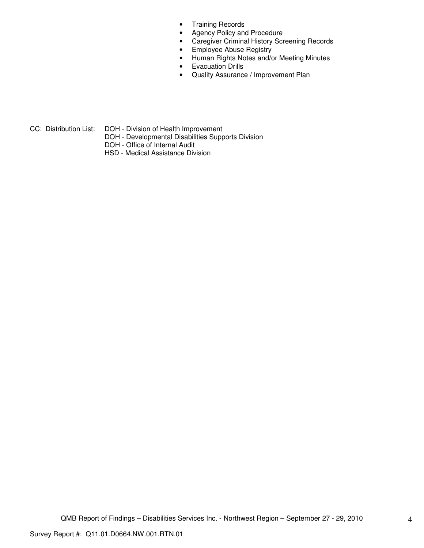- Training Records
- Agency Policy and Procedure
- Caregiver Criminal History Screening Records
- Employee Abuse Registry
- Human Rights Notes and/or Meeting Minutes
- Evacuation Drills
- Quality Assurance / Improvement Plan

CC: Distribution List: DOH - Division of Health Improvement

- DOH Developmental Disabilities Supports Division
- DOH Office of Internal Audit
- HSD Medical Assistance Division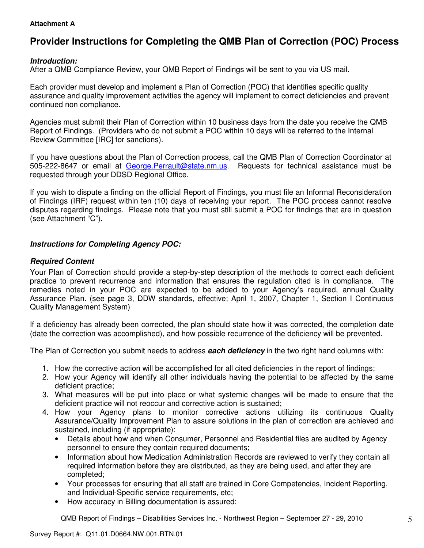## **Attachment A**

# **Provider Instructions for Completing the QMB Plan of Correction (POC) Process**

## **Introduction:**

After a QMB Compliance Review, your QMB Report of Findings will be sent to you via US mail.

Each provider must develop and implement a Plan of Correction (POC) that identifies specific quality assurance and quality improvement activities the agency will implement to correct deficiencies and prevent continued non compliance.

Agencies must submit their Plan of Correction within 10 business days from the date you receive the QMB Report of Findings. (Providers who do not submit a POC within 10 days will be referred to the Internal Review Committee [IRC] for sanctions).

If you have questions about the Plan of Correction process, call the QMB Plan of Correction Coordinator at 505-222-8647 or email at George.Perrault@state.nm.us. Requests for technical assistance must be requested through your DDSD Regional Office.

If you wish to dispute a finding on the official Report of Findings, you must file an Informal Reconsideration of Findings (IRF) request within ten (10) days of receiving your report. The POC process cannot resolve disputes regarding findings. Please note that you must still submit a POC for findings that are in question (see Attachment "C").

## **Instructions for Completing Agency POC:**

# **Required Content**

Your Plan of Correction should provide a step-by-step description of the methods to correct each deficient practice to prevent recurrence and information that ensures the regulation cited is in compliance. The remedies noted in your POC are expected to be added to your Agency's required, annual Quality Assurance Plan. (see page 3, DDW standards, effective; April 1, 2007, Chapter 1, Section I Continuous Quality Management System)

If a deficiency has already been corrected, the plan should state how it was corrected, the completion date (date the correction was accomplished), and how possible recurrence of the deficiency will be prevented.

The Plan of Correction you submit needs to address **each deficiency** in the two right hand columns with:

- 1. How the corrective action will be accomplished for all cited deficiencies in the report of findings;
- 2. How your Agency will identify all other individuals having the potential to be affected by the same deficient practice;
- 3. What measures will be put into place or what systemic changes will be made to ensure that the deficient practice will not reoccur and corrective action is sustained;
- 4. How your Agency plans to monitor corrective actions utilizing its continuous Quality Assurance/Quality Improvement Plan to assure solutions in the plan of correction are achieved and sustained, including (if appropriate):
	- Details about how and when Consumer, Personnel and Residential files are audited by Agency personnel to ensure they contain required documents;
	- Information about how Medication Administration Records are reviewed to verify they contain all required information before they are distributed, as they are being used, and after they are completed;
	- Your processes for ensuring that all staff are trained in Core Competencies, Incident Reporting, and Individual-Specific service requirements, etc;
	- How accuracy in Billing documentation is assured;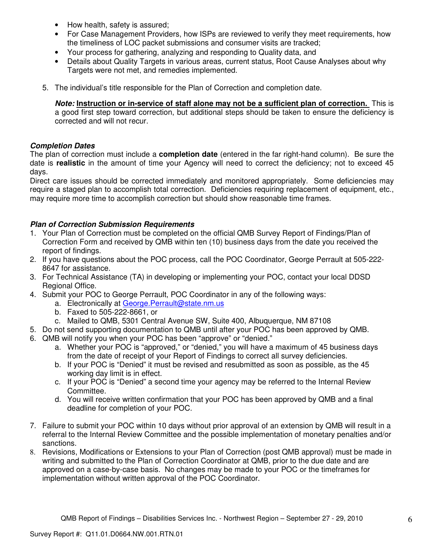- How health, safety is assured;
- For Case Management Providers, how ISPs are reviewed to verify they meet requirements, how the timeliness of LOC packet submissions and consumer visits are tracked;
- Your process for gathering, analyzing and responding to Quality data, and
- Details about Quality Targets in various areas, current status, Root Cause Analyses about why Targets were not met, and remedies implemented.
- 5. The individual's title responsible for the Plan of Correction and completion date.

**Note: Instruction or in-service of staff alone may not be a sufficient plan of correction.** This is a good first step toward correction, but additional steps should be taken to ensure the deficiency is corrected and will not recur.

## **Completion Dates**

The plan of correction must include a **completion date** (entered in the far right-hand column). Be sure the date is **realistic** in the amount of time your Agency will need to correct the deficiency; not to exceed 45 days.

Direct care issues should be corrected immediately and monitored appropriately. Some deficiencies may require a staged plan to accomplish total correction. Deficiencies requiring replacement of equipment, etc., may require more time to accomplish correction but should show reasonable time frames.

# **Plan of Correction Submission Requirements**

- 1. Your Plan of Correction must be completed on the official QMB Survey Report of Findings/Plan of Correction Form and received by QMB within ten (10) business days from the date you received the report of findings.
- 2. If you have questions about the POC process, call the POC Coordinator, George Perrault at 505-222- 8647 for assistance.
- 3. For Technical Assistance (TA) in developing or implementing your POC, contact your local DDSD Regional Office.
- 4. Submit your POC to George Perrault, POC Coordinator in any of the following ways:
	- a. Electronically at George.Perrault@state.nm.us
	- b. Faxed to 505-222-8661, or
	- c. Mailed to QMB, 5301 Central Avenue SW, Suite 400, Albuquerque, NM 87108
- 5. Do not send supporting documentation to QMB until after your POC has been approved by QMB.
- 6. QMB will notify you when your POC has been "approve" or "denied."
	- a. Whether your POC is "approved," or "denied," you will have a maximum of 45 business days from the date of receipt of your Report of Findings to correct all survey deficiencies.
	- b. If your POC is "Denied" it must be revised and resubmitted as soon as possible, as the 45 working day limit is in effect.
	- c. If your POC is "Denied" a second time your agency may be referred to the Internal Review Committee.
	- d. You will receive written confirmation that your POC has been approved by QMB and a final deadline for completion of your POC.
- 7. Failure to submit your POC within 10 days without prior approval of an extension by QMB will result in a referral to the Internal Review Committee and the possible implementation of monetary penalties and/or sanctions.
- 8. Revisions, Modifications or Extensions to your Plan of Correction (post QMB approval) must be made in writing and submitted to the Plan of Correction Coordinator at QMB, prior to the due date and are approved on a case-by-case basis. No changes may be made to your POC or the timeframes for implementation without written approval of the POC Coordinator.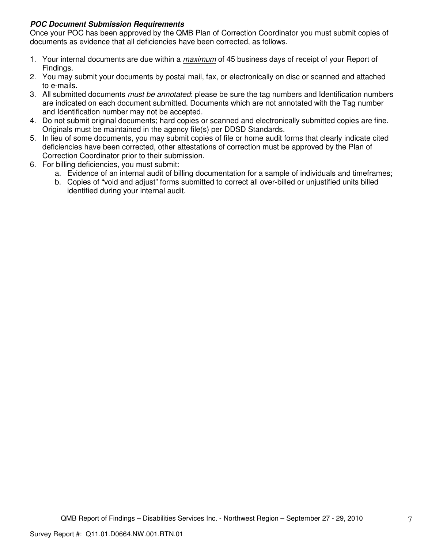# **POC Document Submission Requirements**

Once your POC has been approved by the QMB Plan of Correction Coordinator you must submit copies of documents as evidence that all deficiencies have been corrected, as follows.

- 1. Your internal documents are due within a *maximum* of 45 business days of receipt of your Report of Findings.
- 2. You may submit your documents by postal mail, fax, or electronically on disc or scanned and attached to e-mails.
- 3. All submitted documents *must be annotated*: please be sure the tag numbers and Identification numbers are indicated on each document submitted. Documents which are not annotated with the Tag number and Identification number may not be accepted.
- 4. Do not submit original documents; hard copies or scanned and electronically submitted copies are fine. Originals must be maintained in the agency file(s) per DDSD Standards.
- 5. In lieu of some documents, you may submit copies of file or home audit forms that clearly indicate cited deficiencies have been corrected, other attestations of correction must be approved by the Plan of Correction Coordinator prior to their submission.
- 6. For billing deficiencies, you must submit:
	- a. Evidence of an internal audit of billing documentation for a sample of individuals and timeframes;
	- b. Copies of "void and adjust" forms submitted to correct all over-billed or unjustified units billed identified during your internal audit.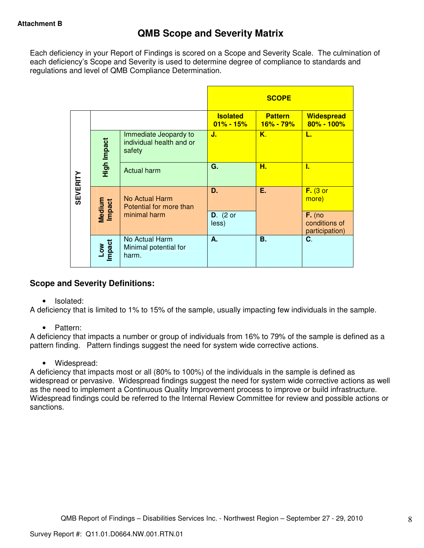Each deficiency in your Report of Findings is scored on a Scope and Severity Scale. The culmination of each deficiency's Scope and Severity is used to determine degree of compliance to standards and regulations and level of QMB Compliance Determination.

|                 |                  |                                                             |                                  | <b>SCOPE</b>                    |                                             |
|-----------------|------------------|-------------------------------------------------------------|----------------------------------|---------------------------------|---------------------------------------------|
|                 |                  |                                                             | <b>Isolated</b><br>$01\% - 15\%$ | <b>Pattern</b><br>$16\% - 79\%$ | <b>Widespread</b><br>80% - 100%             |
|                 | High Impact      | Immediate Jeopardy to<br>individual health and or<br>safety | J.                               | Κ.                              | L.                                          |
|                 |                  | <b>Actual harm</b>                                          | G.                               | н.                              | ı.                                          |
| <b>SEVERITY</b> | Medium<br>Impact | No Actual Harm<br>Potential for more than                   | D.                               | Ε.                              | $F.$ (3 or<br>more)                         |
|                 |                  | minimal harm                                                | $D.$ (2 or<br>less)              |                                 | $F.$ (no<br>conditions of<br>participation) |
|                 | Low<br>Impact    | No Actual Harm<br>Minimal potential for<br>harm.            | А.                               | <b>B.</b>                       | C.                                          |

# **Scope and Severity Definitions:**

• Isolated:

A deficiency that is limited to 1% to 15% of the sample, usually impacting few individuals in the sample.

• Pattern:

A deficiency that impacts a number or group of individuals from 16% to 79% of the sample is defined as a pattern finding. Pattern findings suggest the need for system wide corrective actions.

• Widespread:

A deficiency that impacts most or all (80% to 100%) of the individuals in the sample is defined as widespread or pervasive. Widespread findings suggest the need for system wide corrective actions as well as the need to implement a Continuous Quality Improvement process to improve or build infrastructure. Widespread findings could be referred to the Internal Review Committee for review and possible actions or sanctions.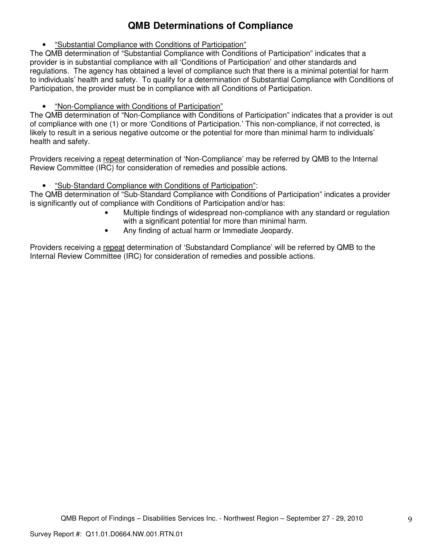# **QMB Determinations of Compliance**

• "Substantial Compliance with Conditions of Participation"

The QMB determination of "Substantial Compliance with Conditions of Participation" indicates that a provider is in substantial compliance with all 'Conditions of Participation' and other standards and regulations. The agency has obtained a level of compliance such that there is a minimal potential for harm to individuals' health and safety. To qualify for a determination of Substantial Compliance with Conditions of Participation, the provider must be in compliance with all Conditions of Participation.

• "Non-Compliance with Conditions of Participation"

The QMB determination of "Non-Compliance with Conditions of Participation" indicates that a provider is out of compliance with one (1) or more 'Conditions of Participation.' This non-compliance, if not corrected, is likely to result in a serious negative outcome or the potential for more than minimal harm to individuals' health and safety.

Providers receiving a repeat determination of 'Non-Compliance' may be referred by QMB to the Internal Review Committee (IRC) for consideration of remedies and possible actions.

• "Sub-Standard Compliance with Conditions of Participation":

The QMB determination of "Sub-Standard Compliance with Conditions of Participation" indicates a provider is significantly out of compliance with Conditions of Participation and/or has:

- Multiple findings of widespread non-compliance with any standard or regulation with a significant potential for more than minimal harm.
- Any finding of actual harm or Immediate Jeopardy.

Providers receiving a repeat determination of 'Substandard Compliance' will be referred by QMB to the Internal Review Committee (IRC) for consideration of remedies and possible actions.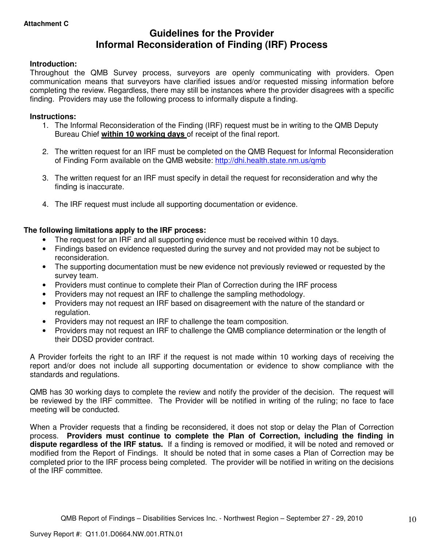# **Guidelines for the Provider Informal Reconsideration of Finding (IRF) Process**

## **Introduction:**

Throughout the QMB Survey process, surveyors are openly communicating with providers. Open communication means that surveyors have clarified issues and/or requested missing information before completing the review. Regardless, there may still be instances where the provider disagrees with a specific finding. Providers may use the following process to informally dispute a finding.

### **Instructions:**

- 1. The Informal Reconsideration of the Finding (IRF) request must be in writing to the QMB Deputy Bureau Chief **within 10 working days** of receipt of the final report.
- 2. The written request for an IRF must be completed on the QMB Request for Informal Reconsideration of Finding Form available on the QMB website: http://dhi.health.state.nm.us/qmb
- 3. The written request for an IRF must specify in detail the request for reconsideration and why the finding is inaccurate.
- 4. The IRF request must include all supporting documentation or evidence.

## **The following limitations apply to the IRF process:**

- The request for an IRF and all supporting evidence must be received within 10 days.
- Findings based on evidence requested during the survey and not provided may not be subject to reconsideration.
- The supporting documentation must be new evidence not previously reviewed or requested by the survey team.
- Providers must continue to complete their Plan of Correction during the IRF process
- Providers may not request an IRF to challenge the sampling methodology.
- Providers may not request an IRF based on disagreement with the nature of the standard or regulation.
- Providers may not request an IRF to challenge the team composition.
- Providers may not request an IRF to challenge the QMB compliance determination or the length of their DDSD provider contract.

A Provider forfeits the right to an IRF if the request is not made within 10 working days of receiving the report and/or does not include all supporting documentation or evidence to show compliance with the standards and regulations.

QMB has 30 working days to complete the review and notify the provider of the decision. The request will be reviewed by the IRF committee. The Provider will be notified in writing of the ruling; no face to face meeting will be conducted.

When a Provider requests that a finding be reconsidered, it does not stop or delay the Plan of Correction process. **Providers must continue to complete the Plan of Correction, including the finding in dispute regardless of the IRF status.** If a finding is removed or modified, it will be noted and removed or modified from the Report of Findings. It should be noted that in some cases a Plan of Correction may be completed prior to the IRF process being completed. The provider will be notified in writing on the decisions of the IRF committee.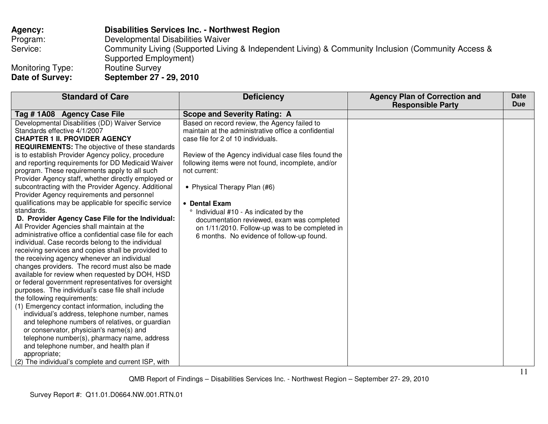| <b>Agency:</b>                      | <b>Disabilities Services Inc. - Northwest Region</b>                                                                        |
|-------------------------------------|-----------------------------------------------------------------------------------------------------------------------------|
| Program:                            | Developmental Disabilities Waiver                                                                                           |
| Service:                            | Community Living (Supported Living & Independent Living) & Community Inclusion (Community Access &<br>Supported Employment) |
| Monitoring Type:<br>Date of Survey: | <b>Routine Survey</b><br>September 27 - 29, 2010                                                                            |

| <b>Standard of Care</b>                                 | <b>Deficiency</b>                                    | <b>Agency Plan of Correction and</b><br><b>Responsible Party</b> | <b>Date</b><br><b>Due</b> |
|---------------------------------------------------------|------------------------------------------------------|------------------------------------------------------------------|---------------------------|
| Tag # 1A08 Agency Case File                             | <b>Scope and Severity Rating: A</b>                  |                                                                  |                           |
| Developmental Disabilities (DD) Waiver Service          | Based on record review, the Agency failed to         |                                                                  |                           |
| Standards effective 4/1/2007                            | maintain at the administrative office a confidential |                                                                  |                           |
| <b>CHAPTER 1 II. PROVIDER AGENCY</b>                    | case file for 2 of 10 individuals.                   |                                                                  |                           |
| <b>REQUIREMENTS:</b> The objective of these standards   |                                                      |                                                                  |                           |
| is to establish Provider Agency policy, procedure       | Review of the Agency individual case files found the |                                                                  |                           |
| and reporting requirements for DD Medicaid Waiver       | following items were not found, incomplete, and/or   |                                                                  |                           |
| program. These requirements apply to all such           | not current:                                         |                                                                  |                           |
| Provider Agency staff, whether directly employed or     |                                                      |                                                                  |                           |
| subcontracting with the Provider Agency. Additional     | • Physical Therapy Plan (#6)                         |                                                                  |                           |
| Provider Agency requirements and personnel              |                                                      |                                                                  |                           |
| qualifications may be applicable for specific service   | • Dental Exam                                        |                                                                  |                           |
| standards.                                              | ° Individual #10 - As indicated by the               |                                                                  |                           |
| D. Provider Agency Case File for the Individual:        | documentation reviewed, exam was completed           |                                                                  |                           |
| All Provider Agencies shall maintain at the             | on 1/11/2010. Follow-up was to be completed in       |                                                                  |                           |
| administrative office a confidential case file for each | 6 months. No evidence of follow-up found.            |                                                                  |                           |
| individual. Case records belong to the individual       |                                                      |                                                                  |                           |
| receiving services and copies shall be provided to      |                                                      |                                                                  |                           |
| the receiving agency whenever an individual             |                                                      |                                                                  |                           |
| changes providers. The record must also be made         |                                                      |                                                                  |                           |
| available for review when requested by DOH, HSD         |                                                      |                                                                  |                           |
| or federal government representatives for oversight     |                                                      |                                                                  |                           |
| purposes. The individual's case file shall include      |                                                      |                                                                  |                           |
| the following requirements:                             |                                                      |                                                                  |                           |
| (1) Emergency contact information, including the        |                                                      |                                                                  |                           |
| individual's address, telephone number, names           |                                                      |                                                                  |                           |
| and telephone numbers of relatives, or guardian         |                                                      |                                                                  |                           |
| or conservator, physician's name(s) and                 |                                                      |                                                                  |                           |
| telephone number(s), pharmacy name, address             |                                                      |                                                                  |                           |
| and telephone number, and health plan if                |                                                      |                                                                  |                           |
| appropriate;                                            |                                                      |                                                                  |                           |
| (2) The individual's complete and current ISP, with     |                                                      |                                                                  |                           |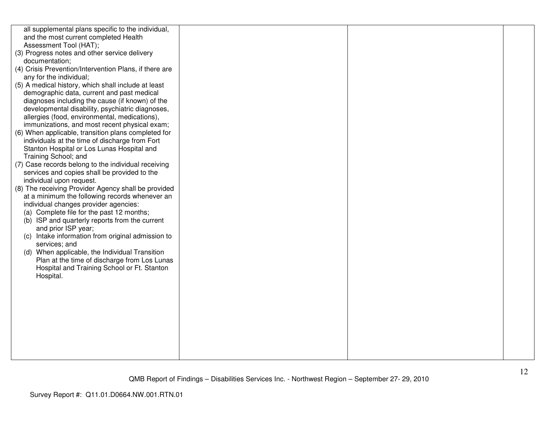| all supplemental plans specific to the individual,                                                  |  |  |
|-----------------------------------------------------------------------------------------------------|--|--|
| and the most current completed Health                                                               |  |  |
| Assessment Tool (HAT);                                                                              |  |  |
| (3) Progress notes and other service delivery                                                       |  |  |
| documentation;                                                                                      |  |  |
| (4) Crisis Prevention/Intervention Plans, if there are                                              |  |  |
| any for the individual;                                                                             |  |  |
| (5) A medical history, which shall include at least                                                 |  |  |
| demographic data, current and past medical                                                          |  |  |
| diagnoses including the cause (if known) of the                                                     |  |  |
| developmental disability, psychiatric diagnoses,                                                    |  |  |
| allergies (food, environmental, medications),                                                       |  |  |
| immunizations, and most recent physical exam;                                                       |  |  |
| (6) When applicable, transition plans completed for                                                 |  |  |
| individuals at the time of discharge from Fort                                                      |  |  |
| Stanton Hospital or Los Lunas Hospital and                                                          |  |  |
| Training School; and                                                                                |  |  |
| (7) Case records belong to the individual receiving<br>services and copies shall be provided to the |  |  |
| individual upon request.                                                                            |  |  |
| (8) The receiving Provider Agency shall be provided                                                 |  |  |
| at a minimum the following records whenever an                                                      |  |  |
| individual changes provider agencies:                                                               |  |  |
| (a) Complete file for the past 12 months;                                                           |  |  |
| (b) ISP and quarterly reports from the current                                                      |  |  |
| and prior ISP year;                                                                                 |  |  |
| (c) Intake information from original admission to                                                   |  |  |
| services; and                                                                                       |  |  |
| (d) When applicable, the Individual Transition                                                      |  |  |
| Plan at the time of discharge from Los Lunas                                                        |  |  |
| Hospital and Training School or Ft. Stanton                                                         |  |  |
| Hospital.                                                                                           |  |  |
|                                                                                                     |  |  |
|                                                                                                     |  |  |
|                                                                                                     |  |  |
|                                                                                                     |  |  |
|                                                                                                     |  |  |
|                                                                                                     |  |  |
|                                                                                                     |  |  |
|                                                                                                     |  |  |
|                                                                                                     |  |  |
|                                                                                                     |  |  |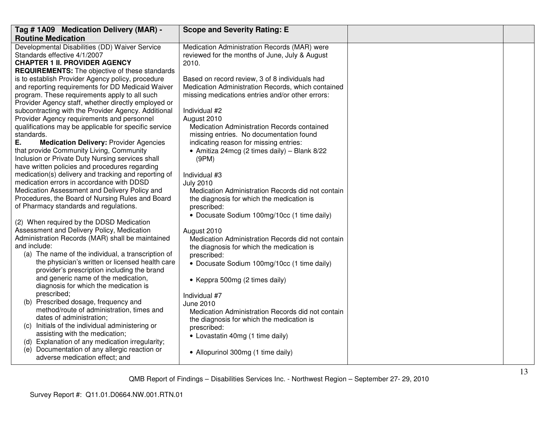| Tag # 1A09 Medication Delivery (MAR) -                                                                                                                                                                                                                                                                                                                                                           | <b>Scope and Severity Rating: E</b>                                                                                                                                                                                                     |  |
|--------------------------------------------------------------------------------------------------------------------------------------------------------------------------------------------------------------------------------------------------------------------------------------------------------------------------------------------------------------------------------------------------|-----------------------------------------------------------------------------------------------------------------------------------------------------------------------------------------------------------------------------------------|--|
| <b>Routine Medication</b>                                                                                                                                                                                                                                                                                                                                                                        |                                                                                                                                                                                                                                         |  |
| Developmental Disabilities (DD) Waiver Service<br>Standards effective 4/1/2007<br><b>CHAPTER 1 II. PROVIDER AGENCY</b><br><b>REQUIREMENTS:</b> The objective of these standards                                                                                                                                                                                                                  | Medication Administration Records (MAR) were<br>reviewed for the months of June, July & August<br>2010.                                                                                                                                 |  |
| is to establish Provider Agency policy, procedure<br>and reporting requirements for DD Medicaid Waiver<br>program. These requirements apply to all such<br>Provider Agency staff, whether directly employed or<br>subcontracting with the Provider Agency. Additional<br>Provider Agency requirements and personnel<br>qualifications may be applicable for specific service                     | Based on record review, 3 of 8 individuals had<br>Medication Administration Records, which contained<br>missing medications entries and/or other errors:<br>Individual #2<br>August 2010<br>Medication Administration Records contained |  |
| standards.<br>Ε.<br><b>Medication Delivery: Provider Agencies</b><br>that provide Community Living, Community<br>Inclusion or Private Duty Nursing services shall<br>have written policies and procedures regarding                                                                                                                                                                              | missing entries. No documentation found<br>indicating reason for missing entries:<br>• Amitiza 24mcg (2 times daily) - Blank 8/22<br>(9PM)                                                                                              |  |
| medication(s) delivery and tracking and reporting of<br>medication errors in accordance with DDSD<br>Medication Assessment and Delivery Policy and<br>Procedures, the Board of Nursing Rules and Board<br>of Pharmacy standards and regulations.                                                                                                                                                 | Individual #3<br><b>July 2010</b><br>Medication Administration Records did not contain<br>the diagnosis for which the medication is<br>prescribed:<br>• Docusate Sodium 100mg/10cc (1 time daily)                                       |  |
| (2) When required by the DDSD Medication<br>Assessment and Delivery Policy, Medication<br>Administration Records (MAR) shall be maintained<br>and include:<br>(a) The name of the individual, a transcription of<br>the physician's written or licensed health care<br>provider's prescription including the brand<br>and generic name of the medication,                                        | August 2010<br>Medication Administration Records did not contain<br>the diagnosis for which the medication is<br>prescribed:<br>• Docusate Sodium 100mg/10cc (1 time daily)<br>• Keppra 500mg (2 times daily)                           |  |
| diagnosis for which the medication is<br>prescribed;<br>(b) Prescribed dosage, frequency and<br>method/route of administration, times and<br>dates of administration;<br>(c) Initials of the individual administering or<br>assisting with the medication;<br>(d) Explanation of any medication irregularity;<br>(e) Documentation of any allergic reaction or<br>adverse medication effect; and | Individual #7<br>June 2010<br>Medication Administration Records did not contain<br>the diagnosis for which the medication is<br>prescribed:<br>• Lovastatin 40mg (1 time daily)<br>• Allopurinol 300mg (1 time daily)                   |  |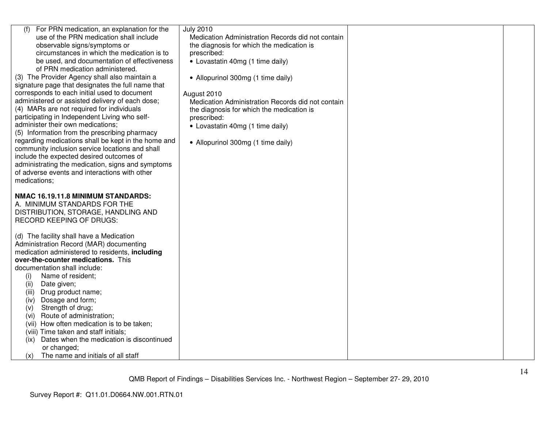| For PRN medication, an explanation for the<br>(f)<br>use of the PRN medication shall include<br>observable signs/symptoms or<br>circumstances in which the medication is to<br>be used, and documentation of effectiveness<br>of PRN medication administered.<br>(3) The Provider Agency shall also maintain a<br>signature page that designates the full name that<br>corresponds to each initial used to document<br>administered or assisted delivery of each dose;<br>(4) MARs are not required for individuals<br>participating in Independent Living who self-<br>administer their own medications;<br>(5) Information from the prescribing pharmacy<br>regarding medications shall be kept in the home and<br>community inclusion service locations and shall<br>include the expected desired outcomes of<br>administrating the medication, signs and symptoms<br>of adverse events and interactions with other<br>medications; | <b>July 2010</b><br>Medication Administration Records did not contain<br>the diagnosis for which the medication is<br>prescribed:<br>• Lovastatin 40mg (1 time daily)<br>• Allopurinol 300mg (1 time daily)<br>August 2010<br>Medication Administration Records did not contain<br>the diagnosis for which the medication is<br>prescribed:<br>• Lovastatin 40mg (1 time daily)<br>• Allopurinol 300mg (1 time daily) |  |
|----------------------------------------------------------------------------------------------------------------------------------------------------------------------------------------------------------------------------------------------------------------------------------------------------------------------------------------------------------------------------------------------------------------------------------------------------------------------------------------------------------------------------------------------------------------------------------------------------------------------------------------------------------------------------------------------------------------------------------------------------------------------------------------------------------------------------------------------------------------------------------------------------------------------------------------|-----------------------------------------------------------------------------------------------------------------------------------------------------------------------------------------------------------------------------------------------------------------------------------------------------------------------------------------------------------------------------------------------------------------------|--|
| NMAC 16.19.11.8 MINIMUM STANDARDS:<br>A. MINIMUM STANDARDS FOR THE<br>DISTRIBUTION, STORAGE, HANDLING AND<br><b>RECORD KEEPING OF DRUGS:</b>                                                                                                                                                                                                                                                                                                                                                                                                                                                                                                                                                                                                                                                                                                                                                                                           |                                                                                                                                                                                                                                                                                                                                                                                                                       |  |
| (d) The facility shall have a Medication<br>Administration Record (MAR) documenting<br>medication administered to residents, including<br>over-the-counter medications. This<br>documentation shall include:<br>Name of resident;<br>(i)<br>(ii)<br>Date given;<br>Drug product name;<br>(iii)<br>Dosage and form;<br>(iv)<br>Strength of drug;<br>(v)<br>Route of administration;<br>(vi)<br>(vii) How often medication is to be taken;<br>(viii) Time taken and staff initials;<br>Dates when the medication is discontinued<br>(ix)<br>or changed;<br>The name and initials of all staff<br>(x)                                                                                                                                                                                                                                                                                                                                     |                                                                                                                                                                                                                                                                                                                                                                                                                       |  |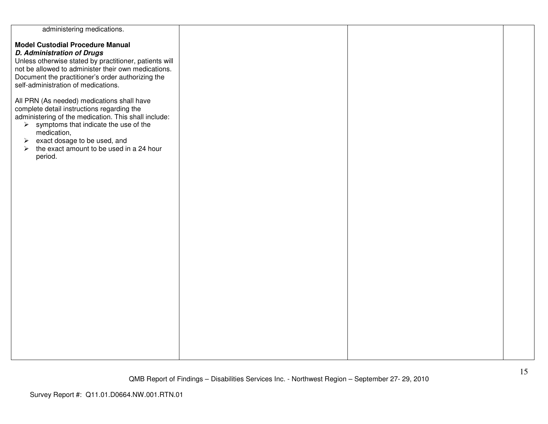| administering medications.                                        |  |  |
|-------------------------------------------------------------------|--|--|
|                                                                   |  |  |
| <b>Model Custodial Procedure Manual</b>                           |  |  |
| <b>D. Administration of Drugs</b>                                 |  |  |
|                                                                   |  |  |
| Unless otherwise stated by practitioner, patients will            |  |  |
| not be allowed to administer their own medications.               |  |  |
| Document the practitioner's order authorizing the                 |  |  |
|                                                                   |  |  |
| self-administration of medications.                               |  |  |
|                                                                   |  |  |
| All PRN (As needed) medications shall have                        |  |  |
|                                                                   |  |  |
| complete detail instructions regarding the                        |  |  |
| administering of the medication. This shall include:              |  |  |
| $\triangleright$ symptoms that indicate the use of the            |  |  |
| medication,                                                       |  |  |
|                                                                   |  |  |
| exact dosage to be used, and<br>$\blacktriangleright$             |  |  |
| the exact amount to be used in a 24 hour<br>$\blacktriangleright$ |  |  |
| period.                                                           |  |  |
|                                                                   |  |  |
|                                                                   |  |  |
|                                                                   |  |  |
|                                                                   |  |  |
|                                                                   |  |  |
|                                                                   |  |  |
|                                                                   |  |  |
|                                                                   |  |  |
|                                                                   |  |  |
|                                                                   |  |  |
|                                                                   |  |  |
|                                                                   |  |  |
|                                                                   |  |  |
|                                                                   |  |  |
|                                                                   |  |  |
|                                                                   |  |  |
|                                                                   |  |  |
|                                                                   |  |  |
|                                                                   |  |  |
|                                                                   |  |  |
|                                                                   |  |  |
|                                                                   |  |  |
|                                                                   |  |  |
|                                                                   |  |  |
|                                                                   |  |  |
|                                                                   |  |  |
|                                                                   |  |  |
|                                                                   |  |  |
|                                                                   |  |  |
|                                                                   |  |  |
|                                                                   |  |  |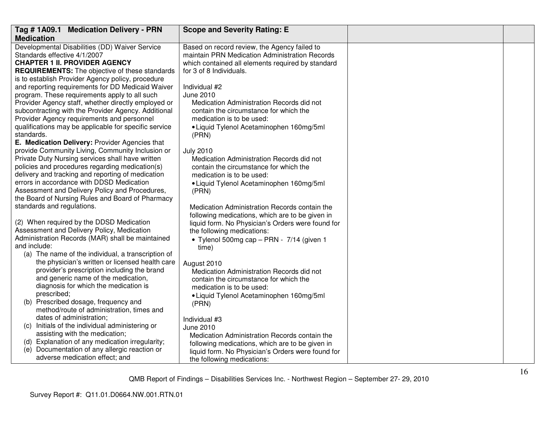| Tag #1A09.1 Medication Delivery - PRN                                                                                  | <b>Scope and Severity Rating: E</b>                                                                                                                 |  |
|------------------------------------------------------------------------------------------------------------------------|-----------------------------------------------------------------------------------------------------------------------------------------------------|--|
| <b>Medication</b>                                                                                                      |                                                                                                                                                     |  |
| Developmental Disabilities (DD) Waiver Service<br>Standards effective 4/1/2007<br><b>CHAPTER 1 II. PROVIDER AGENCY</b> | Based on record review, the Agency failed to<br>maintain PRN Medication Administration Records<br>which contained all elements required by standard |  |
| <b>REQUIREMENTS:</b> The objective of these standards                                                                  | for 3 of 8 Individuals.                                                                                                                             |  |
| is to establish Provider Agency policy, procedure                                                                      |                                                                                                                                                     |  |
| and reporting requirements for DD Medicaid Waiver                                                                      | Individual #2                                                                                                                                       |  |
| program. These requirements apply to all such                                                                          | June 2010                                                                                                                                           |  |
| Provider Agency staff, whether directly employed or                                                                    | Medication Administration Records did not                                                                                                           |  |
| subcontracting with the Provider Agency. Additional                                                                    | contain the circumstance for which the                                                                                                              |  |
| Provider Agency requirements and personnel<br>qualifications may be applicable for specific service                    | medication is to be used:<br>• Liquid Tylenol Acetaminophen 160mg/5ml                                                                               |  |
| standards.                                                                                                             | (PRN)                                                                                                                                               |  |
| E. Medication Delivery: Provider Agencies that                                                                         |                                                                                                                                                     |  |
| provide Community Living, Community Inclusion or                                                                       | <b>July 2010</b>                                                                                                                                    |  |
| Private Duty Nursing services shall have written                                                                       | Medication Administration Records did not                                                                                                           |  |
| policies and procedures regarding medication(s)                                                                        | contain the circumstance for which the                                                                                                              |  |
| delivery and tracking and reporting of medication<br>errors in accordance with DDSD Medication                         | medication is to be used:                                                                                                                           |  |
| Assessment and Delivery Policy and Procedures,                                                                         | • Liquid Tylenol Acetaminophen 160mg/5ml<br>(PRN)                                                                                                   |  |
| the Board of Nursing Rules and Board of Pharmacy                                                                       |                                                                                                                                                     |  |
| standards and regulations.                                                                                             | Medication Administration Records contain the                                                                                                       |  |
|                                                                                                                        | following medications, which are to be given in                                                                                                     |  |
| (2) When required by the DDSD Medication                                                                               | liquid form. No Physician's Orders were found for                                                                                                   |  |
| Assessment and Delivery Policy, Medication                                                                             | the following medications:                                                                                                                          |  |
| Administration Records (MAR) shall be maintained<br>and include:                                                       | • Tylenol 500mg cap - PRN - 7/14 (given 1                                                                                                           |  |
| (a) The name of the individual, a transcription of                                                                     | time)                                                                                                                                               |  |
| the physician's written or licensed health care                                                                        | August 2010                                                                                                                                         |  |
| provider's prescription including the brand                                                                            | Medication Administration Records did not                                                                                                           |  |
| and generic name of the medication,                                                                                    | contain the circumstance for which the                                                                                                              |  |
| diagnosis for which the medication is                                                                                  | medication is to be used:                                                                                                                           |  |
| prescribed;<br>(b) Prescribed dosage, frequency and                                                                    | • Liquid Tylenol Acetaminophen 160mg/5ml                                                                                                            |  |
| method/route of administration, times and                                                                              | (PRN)                                                                                                                                               |  |
| dates of administration;                                                                                               | Individual #3                                                                                                                                       |  |
| (c) Initials of the individual administering or                                                                        | <b>June 2010</b>                                                                                                                                    |  |
| assisting with the medication;                                                                                         | Medication Administration Records contain the                                                                                                       |  |
| (d) Explanation of any medication irregularity;                                                                        | following medications, which are to be given in                                                                                                     |  |
| (e) Documentation of any allergic reaction or<br>adverse medication effect; and                                        | liquid form. No Physician's Orders were found for                                                                                                   |  |
|                                                                                                                        | the following medications:                                                                                                                          |  |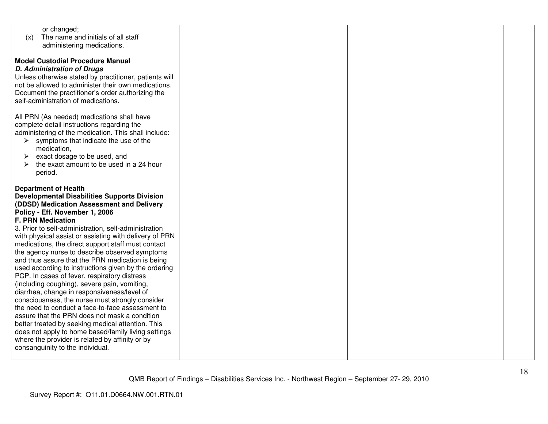| or changed;                                            |  |  |
|--------------------------------------------------------|--|--|
| The name and initials of all staff<br>(x)              |  |  |
|                                                        |  |  |
| administering medications.                             |  |  |
|                                                        |  |  |
| <b>Model Custodial Procedure Manual</b>                |  |  |
| <b>D. Administration of Drugs</b>                      |  |  |
|                                                        |  |  |
| Unless otherwise stated by practitioner, patients will |  |  |
| not be allowed to administer their own medications.    |  |  |
| Document the practitioner's order authorizing the      |  |  |
| self-administration of medications.                    |  |  |
|                                                        |  |  |
|                                                        |  |  |
| All PRN (As needed) medications shall have             |  |  |
| complete detail instructions regarding the             |  |  |
| administering of the medication. This shall include:   |  |  |
| $\triangleright$ symptoms that indicate the use of the |  |  |
|                                                        |  |  |
| medication,                                            |  |  |
| exact dosage to be used, and<br>➤                      |  |  |
| the exact amount to be used in a 24 hour<br>➤          |  |  |
| period.                                                |  |  |
|                                                        |  |  |
|                                                        |  |  |
| <b>Department of Health</b>                            |  |  |
| <b>Developmental Disabilities Supports Division</b>    |  |  |
| (DDSD) Medication Assessment and Delivery              |  |  |
| Policy - Eff. November 1, 2006                         |  |  |
| <b>F. PRN Medication</b>                               |  |  |
|                                                        |  |  |
| 3. Prior to self-administration, self-administration   |  |  |
| with physical assist or assisting with delivery of PRN |  |  |
| medications, the direct support staff must contact     |  |  |
| the agency nurse to describe observed symptoms         |  |  |
|                                                        |  |  |
| and thus assure that the PRN medication is being       |  |  |
| used according to instructions given by the ordering   |  |  |
| PCP. In cases of fever, respiratory distress           |  |  |
| (including coughing), severe pain, vomiting,           |  |  |
| diarrhea, change in responsiveness/level of            |  |  |
| consciousness, the nurse must strongly consider        |  |  |
|                                                        |  |  |
| the need to conduct a face-to-face assessment to       |  |  |
| assure that the PRN does not mask a condition          |  |  |
| better treated by seeking medical attention. This      |  |  |
| does not apply to home based/family living settings    |  |  |
| where the provider is related by affinity or by        |  |  |
|                                                        |  |  |
| consanguinity to the individual.                       |  |  |
|                                                        |  |  |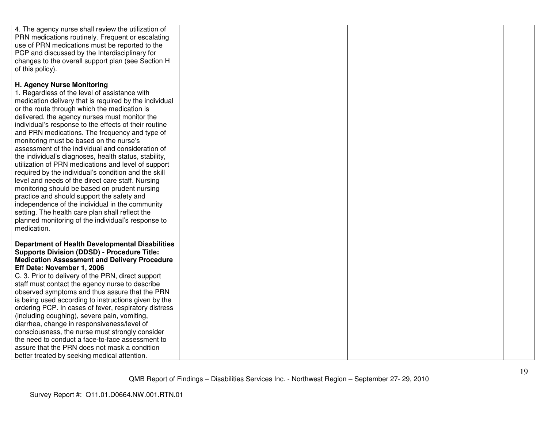| 4. The agency nurse shall review the utilization of<br>PRN medications routinely. Frequent or escalating<br>use of PRN medications must be reported to the<br>PCP and discussed by the Interdisciplinary for<br>changes to the overall support plan (see Section H<br>of this policy).                                                                                                                                                                                                                                                                                                                                                                                                                                                                                                                                                                                                                                                                   |  |  |
|----------------------------------------------------------------------------------------------------------------------------------------------------------------------------------------------------------------------------------------------------------------------------------------------------------------------------------------------------------------------------------------------------------------------------------------------------------------------------------------------------------------------------------------------------------------------------------------------------------------------------------------------------------------------------------------------------------------------------------------------------------------------------------------------------------------------------------------------------------------------------------------------------------------------------------------------------------|--|--|
| H. Agency Nurse Monitoring<br>1. Regardless of the level of assistance with<br>medication delivery that is required by the individual<br>or the route through which the medication is<br>delivered, the agency nurses must monitor the<br>individual's response to the effects of their routine<br>and PRN medications. The frequency and type of<br>monitoring must be based on the nurse's<br>assessment of the individual and consideration of<br>the individual's diagnoses, health status, stability,<br>utilization of PRN medications and level of support<br>required by the individual's condition and the skill<br>level and needs of the direct care staff. Nursing<br>monitoring should be based on prudent nursing<br>practice and should support the safety and<br>independence of the individual in the community<br>setting. The health care plan shall reflect the<br>planned monitoring of the individual's response to<br>medication. |  |  |
| <b>Department of Health Developmental Disabilities</b><br><b>Supports Division (DDSD) - Procedure Title:</b><br><b>Medication Assessment and Delivery Procedure</b><br>Eff Date: November 1, 2006<br>C. 3. Prior to delivery of the PRN, direct support<br>staff must contact the agency nurse to describe<br>observed symptoms and thus assure that the PRN<br>is being used according to instructions given by the<br>ordering PCP. In cases of fever, respiratory distress<br>(including coughing), severe pain, vomiting,<br>diarrhea, change in responsiveness/level of<br>consciousness, the nurse must strongly consider<br>the need to conduct a face-to-face assessment to<br>assure that the PRN does not mask a condition<br>better treated by seeking medical attention.                                                                                                                                                                     |  |  |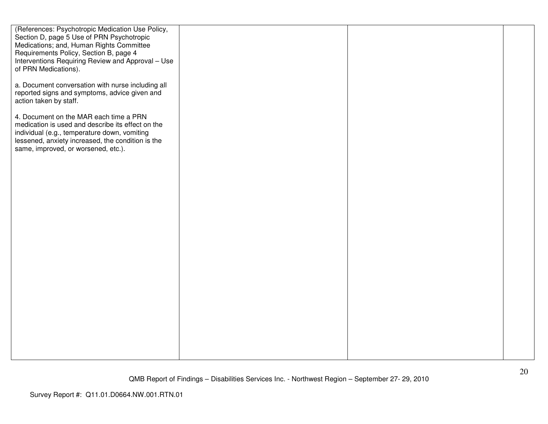| (References: Psychotropic Medication Use Policy,<br>Section D, page 5 Use of PRN Psychotropic<br>Medications; and, Human Rights Committee<br>Requirements Policy, Section B, page 4<br>Interventions Requiring Review and Approval - Use<br>of PRN Medications). |  |  |
|------------------------------------------------------------------------------------------------------------------------------------------------------------------------------------------------------------------------------------------------------------------|--|--|
| a. Document conversation with nurse including all<br>reported signs and symptoms, advice given and<br>action taken by staff.                                                                                                                                     |  |  |
| 4. Document on the MAR each time a PRN<br>medication is used and describe its effect on the<br>individual (e.g., temperature down, vomiting<br>lessened, anxiety increased, the condition is the<br>same, improved, or worsened, etc.).                          |  |  |
|                                                                                                                                                                                                                                                                  |  |  |
|                                                                                                                                                                                                                                                                  |  |  |
|                                                                                                                                                                                                                                                                  |  |  |
|                                                                                                                                                                                                                                                                  |  |  |
|                                                                                                                                                                                                                                                                  |  |  |
|                                                                                                                                                                                                                                                                  |  |  |
|                                                                                                                                                                                                                                                                  |  |  |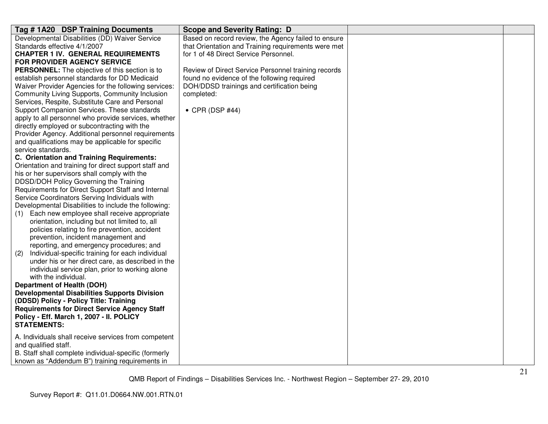| Tag # 1A20 DSP Training Documents                                                                | <b>Scope and Severity Rating: D</b>                 |  |
|--------------------------------------------------------------------------------------------------|-----------------------------------------------------|--|
| Developmental Disabilities (DD) Waiver Service                                                   | Based on record review, the Agency failed to ensure |  |
| Standards effective 4/1/2007                                                                     | that Orientation and Training requirements were met |  |
| <b>CHAPTER 1 IV. GENERAL REQUIREMENTS</b>                                                        | for 1 of 48 Direct Service Personnel.               |  |
| FOR PROVIDER AGENCY SERVICE                                                                      |                                                     |  |
| <b>PERSONNEL:</b> The objective of this section is to                                            | Review of Direct Service Personnel training records |  |
| establish personnel standards for DD Medicaid                                                    | found no evidence of the following required         |  |
| Waiver Provider Agencies for the following services:                                             | DOH/DDSD trainings and certification being          |  |
| Community Living Supports, Community Inclusion                                                   | completed:                                          |  |
| Services, Respite, Substitute Care and Personal                                                  |                                                     |  |
| Support Companion Services. These standards                                                      | $\bullet$ CPR (DSP #44)                             |  |
| apply to all personnel who provide services, whether                                             |                                                     |  |
| directly employed or subcontracting with the                                                     |                                                     |  |
| Provider Agency. Additional personnel requirements                                               |                                                     |  |
| and qualifications may be applicable for specific                                                |                                                     |  |
| service standards.                                                                               |                                                     |  |
| C. Orientation and Training Requirements:                                                        |                                                     |  |
| Orientation and training for direct support staff and                                            |                                                     |  |
| his or her supervisors shall comply with the                                                     |                                                     |  |
| DDSD/DOH Policy Governing the Training                                                           |                                                     |  |
| Requirements for Direct Support Staff and Internal                                               |                                                     |  |
| Service Coordinators Serving Individuals with                                                    |                                                     |  |
| Developmental Disabilities to include the following:                                             |                                                     |  |
| Each new employee shall receive appropriate<br>(1)                                               |                                                     |  |
| orientation, including but not limited to, all<br>policies relating to fire prevention, accident |                                                     |  |
|                                                                                                  |                                                     |  |
| prevention, incident management and<br>reporting, and emergency procedures; and                  |                                                     |  |
| Individual-specific training for each individual<br>(2)                                          |                                                     |  |
| under his or her direct care, as described in the                                                |                                                     |  |
| individual service plan, prior to working alone                                                  |                                                     |  |
| with the individual.                                                                             |                                                     |  |
| <b>Department of Health (DOH)</b>                                                                |                                                     |  |
| <b>Developmental Disabilities Supports Division</b>                                              |                                                     |  |
| (DDSD) Policy - Policy Title: Training                                                           |                                                     |  |
| <b>Requirements for Direct Service Agency Staff</b>                                              |                                                     |  |
| Policy - Eff. March 1, 2007 - II. POLICY                                                         |                                                     |  |
| <b>STATEMENTS:</b>                                                                               |                                                     |  |
|                                                                                                  |                                                     |  |
| A. Individuals shall receive services from competent                                             |                                                     |  |
| and qualified staff.                                                                             |                                                     |  |
| B. Staff shall complete individual-specific (formerly                                            |                                                     |  |
| known as "Addendum B") training requirements in                                                  |                                                     |  |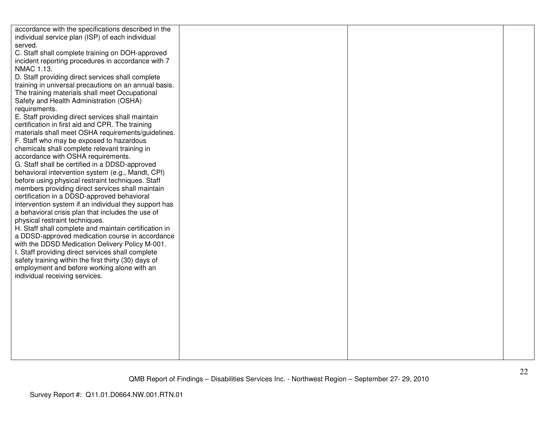| accordance with the specifications described in the                                                      |  |  |
|----------------------------------------------------------------------------------------------------------|--|--|
| individual service plan (ISP) of each individual                                                         |  |  |
| served.                                                                                                  |  |  |
| C. Staff shall complete training on DOH-approved                                                         |  |  |
| incident reporting procedures in accordance with 7                                                       |  |  |
| NMAC 1.13.                                                                                               |  |  |
| D. Staff providing direct services shall complete                                                        |  |  |
| training in universal precautions on an annual basis.                                                    |  |  |
| The training materials shall meet Occupational                                                           |  |  |
| Safety and Health Administration (OSHA)                                                                  |  |  |
| requirements.                                                                                            |  |  |
| E. Staff providing direct services shall maintain                                                        |  |  |
| certification in first aid and CPR. The training                                                         |  |  |
| materials shall meet OSHA requirements/guidelines.                                                       |  |  |
| F. Staff who may be exposed to hazardous                                                                 |  |  |
| chemicals shall complete relevant training in                                                            |  |  |
| accordance with OSHA requirements.                                                                       |  |  |
| G. Staff shall be certified in a DDSD-approved                                                           |  |  |
| behavioral intervention system (e.g., Mandt, CPI)                                                        |  |  |
| before using physical restraint techniques. Staff                                                        |  |  |
| members providing direct services shall maintain                                                         |  |  |
| certification in a DDSD-approved behavioral                                                              |  |  |
| intervention system if an individual they support has                                                    |  |  |
| a behavioral crisis plan that includes the use of                                                        |  |  |
| physical restraint techniques.                                                                           |  |  |
| H. Staff shall complete and maintain certification in<br>a DDSD-approved medication course in accordance |  |  |
| with the DDSD Medication Delivery Policy M-001.                                                          |  |  |
| I. Staff providing direct services shall complete                                                        |  |  |
| safety training within the first thirty (30) days of                                                     |  |  |
| employment and before working alone with an                                                              |  |  |
| individual receiving services.                                                                           |  |  |
|                                                                                                          |  |  |
|                                                                                                          |  |  |
|                                                                                                          |  |  |
|                                                                                                          |  |  |
|                                                                                                          |  |  |
|                                                                                                          |  |  |
|                                                                                                          |  |  |
|                                                                                                          |  |  |
|                                                                                                          |  |  |
|                                                                                                          |  |  |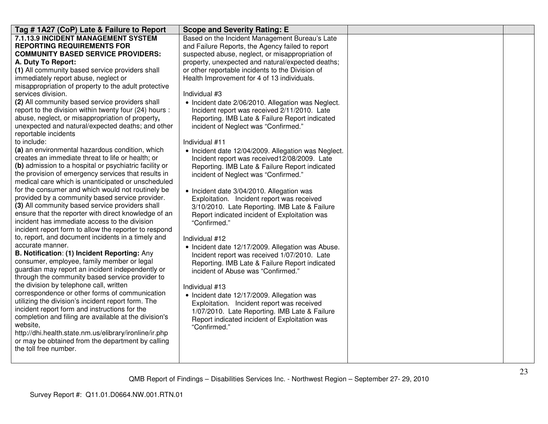| Tag # 1A27 (CoP) Late & Failure to Report                                                            | <b>Scope and Severity Rating: E</b>                                                      |  |
|------------------------------------------------------------------------------------------------------|------------------------------------------------------------------------------------------|--|
| 7.1.13.9 INCIDENT MANAGEMENT SYSTEM                                                                  | Based on the Incident Management Bureau's Late                                           |  |
| <b>REPORTING REQUIREMENTS FOR</b>                                                                    | and Failure Reports, the Agency failed to report                                         |  |
| <b>COMMUNITY BASED SERVICE PROVIDERS:</b>                                                            | suspected abuse, neglect, or misappropriation of                                         |  |
| A. Duty To Report:                                                                                   | property, unexpected and natural/expected deaths;                                        |  |
| (1) All community based service providers shall                                                      | or other reportable incidents to the Division of                                         |  |
| immediately report abuse, neglect or                                                                 | Health Improvement for 4 of 13 individuals.                                              |  |
| misappropriation of property to the adult protective                                                 |                                                                                          |  |
| services division.                                                                                   | Individual #3                                                                            |  |
| (2) All community based service providers shall                                                      | • Incident date 2/06/2010. Allegation was Neglect.                                       |  |
| report to the division within twenty four (24) hours :                                               | Incident report was received 2/11/2010. Late                                             |  |
| abuse, neglect, or misappropriation of property,                                                     | Reporting. IMB Late & Failure Report indicated                                           |  |
| unexpected and natural/expected deaths; and other                                                    | incident of Neglect was "Confirmed."                                                     |  |
| reportable incidents                                                                                 |                                                                                          |  |
| to include:                                                                                          | Individual #11                                                                           |  |
| (a) an environmental hazardous condition, which                                                      | • Incident date 12/04/2009. Allegation was Neglect.                                      |  |
| creates an immediate threat to life or health; or                                                    | Incident report was received12/08/2009. Late                                             |  |
| (b) admission to a hospital or psychiatric facility or                                               | Reporting. IMB Late & Failure Report indicated                                           |  |
| the provision of emergency services that results in                                                  | incident of Neglect was "Confirmed."                                                     |  |
| medical care which is unanticipated or unscheduled                                                   |                                                                                          |  |
| for the consumer and which would not routinely be<br>provided by a community based service provider. | • Incident date 3/04/2010. Allegation was                                                |  |
| (3) All community based service providers shall                                                      | Exploitation. Incident report was received                                               |  |
| ensure that the reporter with direct knowledge of an                                                 | 3/10/2010. Late Reporting. IMB Late & Failure                                            |  |
| incident has immediate access to the division                                                        | Report indicated incident of Exploitation was                                            |  |
| incident report form to allow the reporter to respond                                                | "Confirmed."                                                                             |  |
| to, report, and document incidents in a timely and                                                   |                                                                                          |  |
| accurate manner.                                                                                     | Individual #12                                                                           |  |
| B. Notification: (1) Incident Reporting: Any                                                         | • Incident date 12/17/2009. Allegation was Abuse.                                        |  |
| consumer, employee, family member or legal                                                           | Incident report was received 1/07/2010. Late                                             |  |
| guardian may report an incident independently or                                                     | Reporting. IMB Late & Failure Report indicated<br>incident of Abuse was "Confirmed."     |  |
| through the community based service provider to                                                      |                                                                                          |  |
| the division by telephone call, written                                                              | Individual #13                                                                           |  |
| correspondence or other forms of communication                                                       |                                                                                          |  |
| utilizing the division's incident report form. The                                                   | • Incident date 12/17/2009. Allegation was<br>Exploitation. Incident report was received |  |
| incident report form and instructions for the                                                        | 1/07/2010. Late Reporting. IMB Late & Failure                                            |  |
| completion and filing are available at the division's                                                | Report indicated incident of Exploitation was                                            |  |
| website.                                                                                             | "Confirmed."                                                                             |  |
| http://dhi.health.state.nm.us/elibrary/ironline/ir.php                                               |                                                                                          |  |
| or may be obtained from the department by calling                                                    |                                                                                          |  |
| the toll free number.                                                                                |                                                                                          |  |
|                                                                                                      |                                                                                          |  |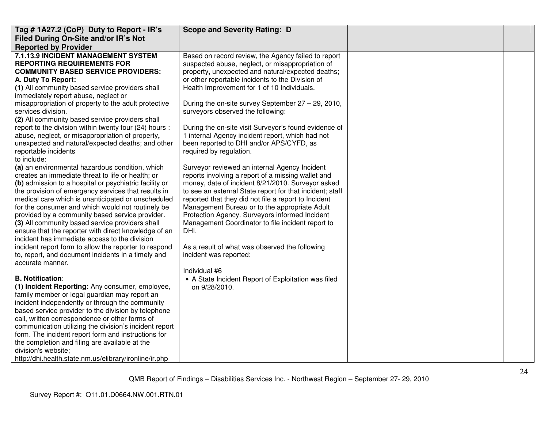| Tag #1A27.2 (CoP) Duty to Report - IR's                                                                                                                                                                                                                                                                                                                                                                                                                                                                                                                                                                                                                                                                                                                                                                                                                                                                                                                                                                                                                                                                                                                                                                                                                                 | <b>Scope and Severity Rating: D</b>                                                                                                                                                                                                                                                                                                                                                                                                                                                                                                                                                                                                                                                                                                                                                                                                                                                                                                                                                                                                                                        |  |
|-------------------------------------------------------------------------------------------------------------------------------------------------------------------------------------------------------------------------------------------------------------------------------------------------------------------------------------------------------------------------------------------------------------------------------------------------------------------------------------------------------------------------------------------------------------------------------------------------------------------------------------------------------------------------------------------------------------------------------------------------------------------------------------------------------------------------------------------------------------------------------------------------------------------------------------------------------------------------------------------------------------------------------------------------------------------------------------------------------------------------------------------------------------------------------------------------------------------------------------------------------------------------|----------------------------------------------------------------------------------------------------------------------------------------------------------------------------------------------------------------------------------------------------------------------------------------------------------------------------------------------------------------------------------------------------------------------------------------------------------------------------------------------------------------------------------------------------------------------------------------------------------------------------------------------------------------------------------------------------------------------------------------------------------------------------------------------------------------------------------------------------------------------------------------------------------------------------------------------------------------------------------------------------------------------------------------------------------------------------|--|
| Filed During On-Site and/or IR's Not                                                                                                                                                                                                                                                                                                                                                                                                                                                                                                                                                                                                                                                                                                                                                                                                                                                                                                                                                                                                                                                                                                                                                                                                                                    |                                                                                                                                                                                                                                                                                                                                                                                                                                                                                                                                                                                                                                                                                                                                                                                                                                                                                                                                                                                                                                                                            |  |
| <b>Reported by Provider</b>                                                                                                                                                                                                                                                                                                                                                                                                                                                                                                                                                                                                                                                                                                                                                                                                                                                                                                                                                                                                                                                                                                                                                                                                                                             |                                                                                                                                                                                                                                                                                                                                                                                                                                                                                                                                                                                                                                                                                                                                                                                                                                                                                                                                                                                                                                                                            |  |
| 7.1.13.9 INCIDENT MANAGEMENT SYSTEM<br><b>REPORTING REQUIREMENTS FOR</b><br><b>COMMUNITY BASED SERVICE PROVIDERS:</b><br>A. Duty To Report:<br>(1) All community based service providers shall<br>immediately report abuse, neglect or<br>misappropriation of property to the adult protective<br>services division.<br>(2) All community based service providers shall<br>report to the division within twenty four (24) hours :<br>abuse, neglect, or misappropriation of property,<br>unexpected and natural/expected deaths; and other<br>reportable incidents<br>to include:<br>(a) an environmental hazardous condition, which<br>creates an immediate threat to life or health; or<br>(b) admission to a hospital or psychiatric facility or<br>the provision of emergency services that results in<br>medical care which is unanticipated or unscheduled<br>for the consumer and which would not routinely be<br>provided by a community based service provider.<br>(3) All community based service providers shall<br>ensure that the reporter with direct knowledge of an<br>incident has immediate access to the division<br>incident report form to allow the reporter to respond<br>to, report, and document incidents in a timely and<br>accurate manner. | Based on record review, the Agency failed to report<br>suspected abuse, neglect, or misappropriation of<br>property, unexpected and natural/expected deaths;<br>or other reportable incidents to the Division of<br>Health Improvement for 1 of 10 Individuals.<br>During the on-site survey September 27 - 29, 2010,<br>surveyors observed the following:<br>During the on-site visit Surveyor's found evidence of<br>1 internal Agency incident report, which had not<br>been reported to DHI and/or APS/CYFD, as<br>required by regulation.<br>Surveyor reviewed an internal Agency Incident<br>reports involving a report of a missing wallet and<br>money, date of incident 8/21/2010. Surveyor asked<br>to see an external State report for that incident; staff<br>reported that they did not file a report to Incident<br>Management Bureau or to the appropriate Adult<br>Protection Agency. Surveyors informed Incident<br>Management Coordinator to file incident report to<br>DHI.<br>As a result of what was observed the following<br>incident was reported: |  |
| <b>B. Notification:</b><br>(1) Incident Reporting: Any consumer, employee,<br>family member or legal guardian may report an<br>incident independently or through the community<br>based service provider to the division by telephone<br>call, written correspondence or other forms of<br>communication utilizing the division's incident report<br>form. The incident report form and instructions for<br>the completion and filing are available at the<br>division's website;<br>http://dhi.health.state.nm.us/elibrary/ironline/ir.php                                                                                                                                                                                                                                                                                                                                                                                                                                                                                                                                                                                                                                                                                                                             | Individual #6<br>• A State Incident Report of Exploitation was filed<br>on 9/28/2010.                                                                                                                                                                                                                                                                                                                                                                                                                                                                                                                                                                                                                                                                                                                                                                                                                                                                                                                                                                                      |  |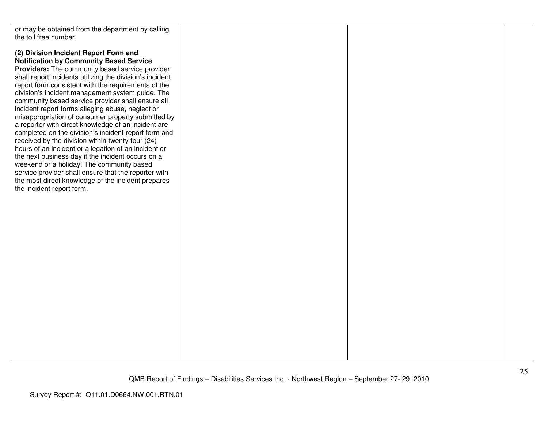| or may be obtained from the department by calling        |  |  |
|----------------------------------------------------------|--|--|
| the toll free number.                                    |  |  |
|                                                          |  |  |
|                                                          |  |  |
| (2) Division Incident Report Form and                    |  |  |
| <b>Notification by Community Based Service</b>           |  |  |
| Providers: The community based service provider          |  |  |
|                                                          |  |  |
| shall report incidents utilizing the division's incident |  |  |
| report form consistent with the requirements of the      |  |  |
| division's incident management system guide. The         |  |  |
| community based service provider shall ensure all        |  |  |
| incident report forms alleging abuse, neglect or         |  |  |
| misappropriation of consumer property submitted by       |  |  |
|                                                          |  |  |
| a reporter with direct knowledge of an incident are      |  |  |
| completed on the division's incident report form and     |  |  |
| received by the division within twenty-four (24)         |  |  |
| hours of an incident or allegation of an incident or     |  |  |
| the next business day if the incident occurs on a        |  |  |
| weekend or a holiday. The community based                |  |  |
|                                                          |  |  |
| service provider shall ensure that the reporter with     |  |  |
| the most direct knowledge of the incident prepares       |  |  |
| the incident report form.                                |  |  |
|                                                          |  |  |
|                                                          |  |  |
|                                                          |  |  |
|                                                          |  |  |
|                                                          |  |  |
|                                                          |  |  |
|                                                          |  |  |
|                                                          |  |  |
|                                                          |  |  |
|                                                          |  |  |
|                                                          |  |  |
|                                                          |  |  |
|                                                          |  |  |
|                                                          |  |  |
|                                                          |  |  |
|                                                          |  |  |
|                                                          |  |  |
|                                                          |  |  |
|                                                          |  |  |
|                                                          |  |  |
|                                                          |  |  |
|                                                          |  |  |
|                                                          |  |  |
|                                                          |  |  |
|                                                          |  |  |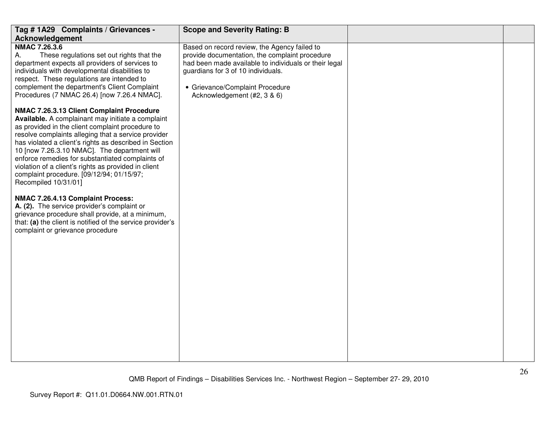| Tag # 1A29 Complaints / Grievances -                                                                                                                                                                                                                                                                                                                                                                                                                                                                                                                                                                                                                                                                                                                                                                                                                                                                                                                                                                                                                                                                  | <b>Scope and Severity Rating: B</b>                                                                                                                                                                                                                             |    |
|-------------------------------------------------------------------------------------------------------------------------------------------------------------------------------------------------------------------------------------------------------------------------------------------------------------------------------------------------------------------------------------------------------------------------------------------------------------------------------------------------------------------------------------------------------------------------------------------------------------------------------------------------------------------------------------------------------------------------------------------------------------------------------------------------------------------------------------------------------------------------------------------------------------------------------------------------------------------------------------------------------------------------------------------------------------------------------------------------------|-----------------------------------------------------------------------------------------------------------------------------------------------------------------------------------------------------------------------------------------------------------------|----|
| <b>Acknowledgement</b><br><b>NMAC 7.26.3.6</b><br>These regulations set out rights that the<br>А.<br>department expects all providers of services to<br>individuals with developmental disabilities to<br>respect. These regulations are intended to<br>complement the department's Client Complaint<br>Procedures (7 NMAC 26.4) [now 7.26.4 NMAC].<br>NMAC 7.26.3.13 Client Complaint Procedure<br>Available. A complainant may initiate a complaint<br>as provided in the client complaint procedure to<br>resolve complaints alleging that a service provider<br>has violated a client's rights as described in Section<br>10 [now 7.26.3.10 NMAC]. The department will<br>enforce remedies for substantiated complaints of<br>violation of a client's rights as provided in client<br>complaint procedure. [09/12/94; 01/15/97;<br>Recompiled 10/31/01]<br>NMAC 7.26.4.13 Complaint Process:<br>A. (2). The service provider's complaint or<br>grievance procedure shall provide, at a minimum,<br>that: (a) the client is notified of the service provider's<br>complaint or grievance procedure | Based on record review, the Agency failed to<br>provide documentation, the complaint procedure<br>had been made available to individuals or their legal<br>guardians for 3 of 10 individuals.<br>• Grievance/Complaint Procedure<br>Acknowledgement (#2, 3 & 6) |    |
|                                                                                                                                                                                                                                                                                                                                                                                                                                                                                                                                                                                                                                                                                                                                                                                                                                                                                                                                                                                                                                                                                                       | QMB Report of Findings - Disabilities Services Inc. - Northwest Region - September 27- 29, 2010                                                                                                                                                                 | 26 |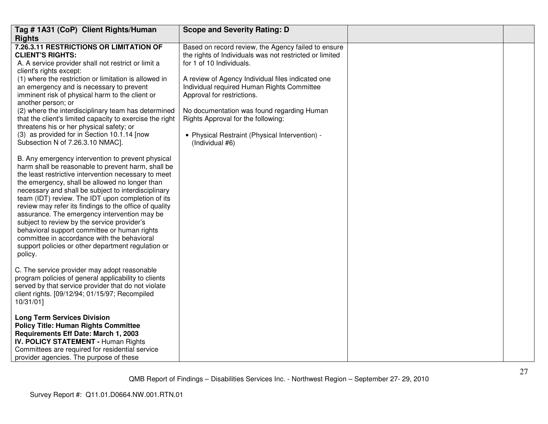| Tag #1A31 (CoP) Client Rights/Human                                                                                                                                                                                                                                                                                                                                                                                                                                                                                                                                                                                                                    | <b>Scope and Severity Rating: D</b>                                                                                                                                                                                                           |  |
|--------------------------------------------------------------------------------------------------------------------------------------------------------------------------------------------------------------------------------------------------------------------------------------------------------------------------------------------------------------------------------------------------------------------------------------------------------------------------------------------------------------------------------------------------------------------------------------------------------------------------------------------------------|-----------------------------------------------------------------------------------------------------------------------------------------------------------------------------------------------------------------------------------------------|--|
| <b>Rights</b>                                                                                                                                                                                                                                                                                                                                                                                                                                                                                                                                                                                                                                          |                                                                                                                                                                                                                                               |  |
| 7.26.3.11 RESTRICTIONS OR LIMITATION OF<br><b>CLIENT'S RIGHTS:</b><br>A. A service provider shall not restrict or limit a<br>client's rights except:<br>(1) where the restriction or limitation is allowed in<br>an emergency and is necessary to prevent                                                                                                                                                                                                                                                                                                                                                                                              | Based on record review, the Agency failed to ensure<br>the rights of Individuals was not restricted or limited<br>for 1 of 10 Individuals.<br>A review of Agency Individual files indicated one<br>Individual required Human Rights Committee |  |
| imminent risk of physical harm to the client or<br>another person; or<br>(2) where the interdisciplinary team has determined<br>that the client's limited capacity to exercise the right<br>threatens his or her physical safety; or<br>(3) as provided for in Section 10.1.14 [now<br>Subsection N of 7.26.3.10 NMAC].                                                                                                                                                                                                                                                                                                                                | Approval for restrictions.<br>No documentation was found regarding Human<br>Rights Approval for the following:<br>• Physical Restraint (Physical Intervention) -<br>(Individual #6)                                                           |  |
| B. Any emergency intervention to prevent physical<br>harm shall be reasonable to prevent harm, shall be<br>the least restrictive intervention necessary to meet<br>the emergency, shall be allowed no longer than<br>necessary and shall be subject to interdisciplinary<br>team (IDT) review. The IDT upon completion of its<br>review may refer its findings to the office of quality<br>assurance. The emergency intervention may be<br>subject to review by the service provider's<br>behavioral support committee or human rights<br>committee in accordance with the behavioral<br>support policies or other department regulation or<br>policy. |                                                                                                                                                                                                                                               |  |
| C. The service provider may adopt reasonable<br>program policies of general applicability to clients<br>served by that service provider that do not violate<br>client rights. [09/12/94; 01/15/97; Recompiled<br>10/31/01]                                                                                                                                                                                                                                                                                                                                                                                                                             |                                                                                                                                                                                                                                               |  |
| <b>Long Term Services Division</b><br><b>Policy Title: Human Rights Committee</b><br>Requirements Eff Date: March 1, 2003<br><b>IV. POLICY STATEMENT - Human Rights</b><br>Committees are required for residential service<br>provider agencies. The purpose of these                                                                                                                                                                                                                                                                                                                                                                                  |                                                                                                                                                                                                                                               |  |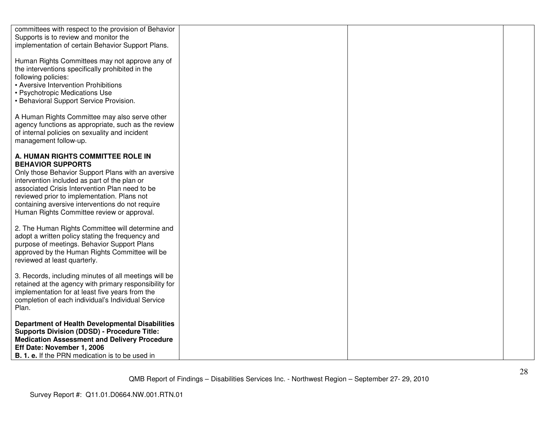| committees with respect to the provision of Behavior<br>Supports is to review and monitor the<br>implementation of certain Behavior Support Plans.                                                                                                                                                                                                                     |  |
|------------------------------------------------------------------------------------------------------------------------------------------------------------------------------------------------------------------------------------------------------------------------------------------------------------------------------------------------------------------------|--|
| Human Rights Committees may not approve any of<br>the interventions specifically prohibited in the<br>following policies:<br>• Aversive Intervention Prohibitions<br>• Psychotropic Medications Use<br>• Behavioral Support Service Provision.                                                                                                                         |  |
| A Human Rights Committee may also serve other<br>agency functions as appropriate, such as the review<br>of internal policies on sexuality and incident<br>management follow-up.                                                                                                                                                                                        |  |
| A. HUMAN RIGHTS COMMITTEE ROLE IN<br><b>BEHAVIOR SUPPORTS</b><br>Only those Behavior Support Plans with an aversive<br>intervention included as part of the plan or<br>associated Crisis Intervention Plan need to be<br>reviewed prior to implementation. Plans not<br>containing aversive interventions do not require<br>Human Rights Committee review or approval. |  |
| 2. The Human Rights Committee will determine and<br>adopt a written policy stating the frequency and<br>purpose of meetings. Behavior Support Plans<br>approved by the Human Rights Committee will be<br>reviewed at least quarterly.                                                                                                                                  |  |
| 3. Records, including minutes of all meetings will be<br>retained at the agency with primary responsibility for<br>implementation for at least five years from the<br>completion of each individual's Individual Service<br>Plan.                                                                                                                                      |  |
| <b>Department of Health Developmental Disabilities</b><br><b>Supports Division (DDSD) - Procedure Title:</b><br><b>Medication Assessment and Delivery Procedure</b><br>Eff Date: November 1, 2006<br><b>B. 1. e.</b> If the PRN medication is to be used in                                                                                                            |  |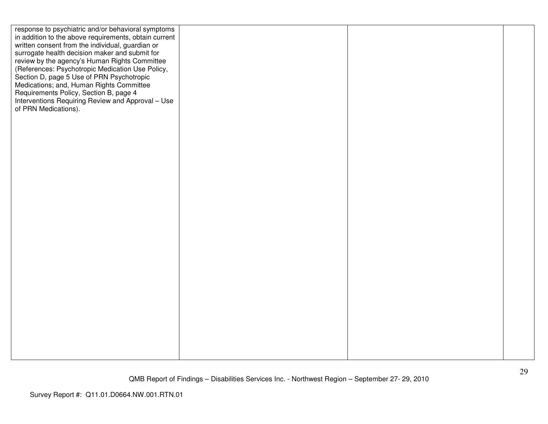| response to psychiatric and/or behavioral symptoms<br>in addition to the above requirements, obtain current<br>written consent from the individual, guardian or<br>surrogate health decision maker and submit for<br>review by the agency's Human Rights Committee<br>(References: Psychotropic Medication Use Policy,<br>Section D, page 5 Use of PRN Psychotropic<br>Medications; and, Human Rights Committee |  |  |
|-----------------------------------------------------------------------------------------------------------------------------------------------------------------------------------------------------------------------------------------------------------------------------------------------------------------------------------------------------------------------------------------------------------------|--|--|
| Requirements Policy, Section B, page 4<br>Interventions Requiring Review and Approval - Use<br>of PRN Medications).                                                                                                                                                                                                                                                                                             |  |  |
|                                                                                                                                                                                                                                                                                                                                                                                                                 |  |  |
|                                                                                                                                                                                                                                                                                                                                                                                                                 |  |  |
|                                                                                                                                                                                                                                                                                                                                                                                                                 |  |  |
|                                                                                                                                                                                                                                                                                                                                                                                                                 |  |  |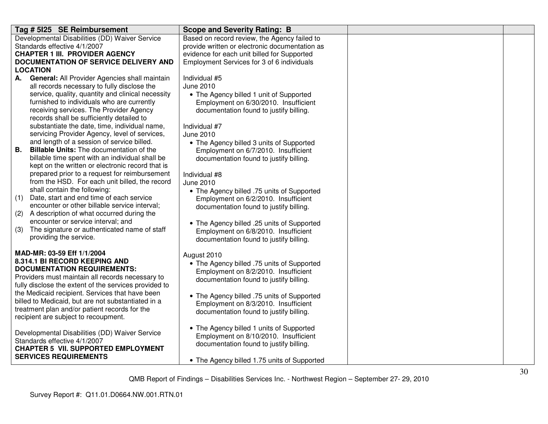| Based on record review, the Agency failed to<br>Developmental Disabilities (DD) Waiver Service<br>Standards effective 4/1/2007<br>provide written or electronic documentation as<br><b>CHAPTER 1 III. PROVIDER AGENCY</b><br>evidence for each unit billed for Supported<br>DOCUMENTATION OF SERVICE DELIVERY AND<br>Employment Services for 3 of 6 individuals<br><b>LOCATION</b><br>General: All Provider Agencies shall maintain<br>Individual #5<br>А.<br>all records necessary to fully disclose the<br><b>June 2010</b><br>service, quality, quantity and clinical necessity<br>• The Agency billed 1 unit of Supported<br>furnished to individuals who are currently<br>Employment on 6/30/2010. Insufficient<br>receiving services. The Provider Agency<br>documentation found to justify billing.<br>records shall be sufficiently detailed to<br>substantiate the date, time, individual name,<br>Individual #7<br>servicing Provider Agency, level of services,<br><b>June 2010</b><br>and length of a session of service billed.<br>• The Agency billed 3 units of Supported<br><b>Billable Units:</b> The documentation of the<br><b>B.</b><br>Employment on 6/7/2010. Insufficient |
|--------------------------------------------------------------------------------------------------------------------------------------------------------------------------------------------------------------------------------------------------------------------------------------------------------------------------------------------------------------------------------------------------------------------------------------------------------------------------------------------------------------------------------------------------------------------------------------------------------------------------------------------------------------------------------------------------------------------------------------------------------------------------------------------------------------------------------------------------------------------------------------------------------------------------------------------------------------------------------------------------------------------------------------------------------------------------------------------------------------------------------------------------------------------------------------------------|
|                                                                                                                                                                                                                                                                                                                                                                                                                                                                                                                                                                                                                                                                                                                                                                                                                                                                                                                                                                                                                                                                                                                                                                                                  |
|                                                                                                                                                                                                                                                                                                                                                                                                                                                                                                                                                                                                                                                                                                                                                                                                                                                                                                                                                                                                                                                                                                                                                                                                  |
|                                                                                                                                                                                                                                                                                                                                                                                                                                                                                                                                                                                                                                                                                                                                                                                                                                                                                                                                                                                                                                                                                                                                                                                                  |
|                                                                                                                                                                                                                                                                                                                                                                                                                                                                                                                                                                                                                                                                                                                                                                                                                                                                                                                                                                                                                                                                                                                                                                                                  |
|                                                                                                                                                                                                                                                                                                                                                                                                                                                                                                                                                                                                                                                                                                                                                                                                                                                                                                                                                                                                                                                                                                                                                                                                  |
|                                                                                                                                                                                                                                                                                                                                                                                                                                                                                                                                                                                                                                                                                                                                                                                                                                                                                                                                                                                                                                                                                                                                                                                                  |
|                                                                                                                                                                                                                                                                                                                                                                                                                                                                                                                                                                                                                                                                                                                                                                                                                                                                                                                                                                                                                                                                                                                                                                                                  |
|                                                                                                                                                                                                                                                                                                                                                                                                                                                                                                                                                                                                                                                                                                                                                                                                                                                                                                                                                                                                                                                                                                                                                                                                  |
|                                                                                                                                                                                                                                                                                                                                                                                                                                                                                                                                                                                                                                                                                                                                                                                                                                                                                                                                                                                                                                                                                                                                                                                                  |
|                                                                                                                                                                                                                                                                                                                                                                                                                                                                                                                                                                                                                                                                                                                                                                                                                                                                                                                                                                                                                                                                                                                                                                                                  |
|                                                                                                                                                                                                                                                                                                                                                                                                                                                                                                                                                                                                                                                                                                                                                                                                                                                                                                                                                                                                                                                                                                                                                                                                  |
|                                                                                                                                                                                                                                                                                                                                                                                                                                                                                                                                                                                                                                                                                                                                                                                                                                                                                                                                                                                                                                                                                                                                                                                                  |
|                                                                                                                                                                                                                                                                                                                                                                                                                                                                                                                                                                                                                                                                                                                                                                                                                                                                                                                                                                                                                                                                                                                                                                                                  |
|                                                                                                                                                                                                                                                                                                                                                                                                                                                                                                                                                                                                                                                                                                                                                                                                                                                                                                                                                                                                                                                                                                                                                                                                  |
| billable time spent with an individual shall be<br>documentation found to justify billing.                                                                                                                                                                                                                                                                                                                                                                                                                                                                                                                                                                                                                                                                                                                                                                                                                                                                                                                                                                                                                                                                                                       |
| kept on the written or electronic record that is                                                                                                                                                                                                                                                                                                                                                                                                                                                                                                                                                                                                                                                                                                                                                                                                                                                                                                                                                                                                                                                                                                                                                 |
| prepared prior to a request for reimbursement<br>Individual #8                                                                                                                                                                                                                                                                                                                                                                                                                                                                                                                                                                                                                                                                                                                                                                                                                                                                                                                                                                                                                                                                                                                                   |
| from the HSD. For each unit billed, the record<br><b>June 2010</b>                                                                                                                                                                                                                                                                                                                                                                                                                                                                                                                                                                                                                                                                                                                                                                                                                                                                                                                                                                                                                                                                                                                               |
| shall contain the following:<br>• The Agency billed .75 units of Supported                                                                                                                                                                                                                                                                                                                                                                                                                                                                                                                                                                                                                                                                                                                                                                                                                                                                                                                                                                                                                                                                                                                       |
| (1)<br>Date, start and end time of each service<br>Employment on 6/2/2010. Insufficient                                                                                                                                                                                                                                                                                                                                                                                                                                                                                                                                                                                                                                                                                                                                                                                                                                                                                                                                                                                                                                                                                                          |
| encounter or other billable service interval;<br>documentation found to justify billing.                                                                                                                                                                                                                                                                                                                                                                                                                                                                                                                                                                                                                                                                                                                                                                                                                                                                                                                                                                                                                                                                                                         |
| A description of what occurred during the<br>(2)                                                                                                                                                                                                                                                                                                                                                                                                                                                                                                                                                                                                                                                                                                                                                                                                                                                                                                                                                                                                                                                                                                                                                 |
| encounter or service interval; and<br>• The Agency billed .25 units of Supported                                                                                                                                                                                                                                                                                                                                                                                                                                                                                                                                                                                                                                                                                                                                                                                                                                                                                                                                                                                                                                                                                                                 |
| The signature or authenticated name of staff<br>(3)<br>Employment on 6/8/2010. Insufficient                                                                                                                                                                                                                                                                                                                                                                                                                                                                                                                                                                                                                                                                                                                                                                                                                                                                                                                                                                                                                                                                                                      |
| providing the service.<br>documentation found to justify billing.                                                                                                                                                                                                                                                                                                                                                                                                                                                                                                                                                                                                                                                                                                                                                                                                                                                                                                                                                                                                                                                                                                                                |
| MAD-MR: 03-59 Eff 1/1/2004                                                                                                                                                                                                                                                                                                                                                                                                                                                                                                                                                                                                                                                                                                                                                                                                                                                                                                                                                                                                                                                                                                                                                                       |
| August 2010<br>8.314.1 BI RECORD KEEPING AND                                                                                                                                                                                                                                                                                                                                                                                                                                                                                                                                                                                                                                                                                                                                                                                                                                                                                                                                                                                                                                                                                                                                                     |
| • The Agency billed .75 units of Supported<br><b>DOCUMENTATION REQUIREMENTS:</b>                                                                                                                                                                                                                                                                                                                                                                                                                                                                                                                                                                                                                                                                                                                                                                                                                                                                                                                                                                                                                                                                                                                 |
| Employment on 8/2/2010. Insufficient<br>Providers must maintain all records necessary to                                                                                                                                                                                                                                                                                                                                                                                                                                                                                                                                                                                                                                                                                                                                                                                                                                                                                                                                                                                                                                                                                                         |
| documentation found to justify billing.<br>fully disclose the extent of the services provided to                                                                                                                                                                                                                                                                                                                                                                                                                                                                                                                                                                                                                                                                                                                                                                                                                                                                                                                                                                                                                                                                                                 |
| the Medicaid recipient. Services that have been                                                                                                                                                                                                                                                                                                                                                                                                                                                                                                                                                                                                                                                                                                                                                                                                                                                                                                                                                                                                                                                                                                                                                  |
| • The Agency billed .75 units of Supported<br>billed to Medicaid, but are not substantiated in a<br>Employment on 8/3/2010. Insufficient                                                                                                                                                                                                                                                                                                                                                                                                                                                                                                                                                                                                                                                                                                                                                                                                                                                                                                                                                                                                                                                         |
| treatment plan and/or patient records for the<br>documentation found to justify billing.                                                                                                                                                                                                                                                                                                                                                                                                                                                                                                                                                                                                                                                                                                                                                                                                                                                                                                                                                                                                                                                                                                         |
| recipient are subject to recoupment.                                                                                                                                                                                                                                                                                                                                                                                                                                                                                                                                                                                                                                                                                                                                                                                                                                                                                                                                                                                                                                                                                                                                                             |
| • The Agency billed 1 units of Supported                                                                                                                                                                                                                                                                                                                                                                                                                                                                                                                                                                                                                                                                                                                                                                                                                                                                                                                                                                                                                                                                                                                                                         |
| Developmental Disabilities (DD) Waiver Service<br>Employment on 8/10/2010. Insufficient                                                                                                                                                                                                                                                                                                                                                                                                                                                                                                                                                                                                                                                                                                                                                                                                                                                                                                                                                                                                                                                                                                          |
| Standards effective 4/1/2007<br>documentation found to justify billing.                                                                                                                                                                                                                                                                                                                                                                                                                                                                                                                                                                                                                                                                                                                                                                                                                                                                                                                                                                                                                                                                                                                          |
| <b>CHAPTER 5 VII. SUPPORTED EMPLOYMENT</b>                                                                                                                                                                                                                                                                                                                                                                                                                                                                                                                                                                                                                                                                                                                                                                                                                                                                                                                                                                                                                                                                                                                                                       |
| <b>SERVICES REQUIREMENTS</b><br>• The Agency billed 1.75 units of Supported                                                                                                                                                                                                                                                                                                                                                                                                                                                                                                                                                                                                                                                                                                                                                                                                                                                                                                                                                                                                                                                                                                                      |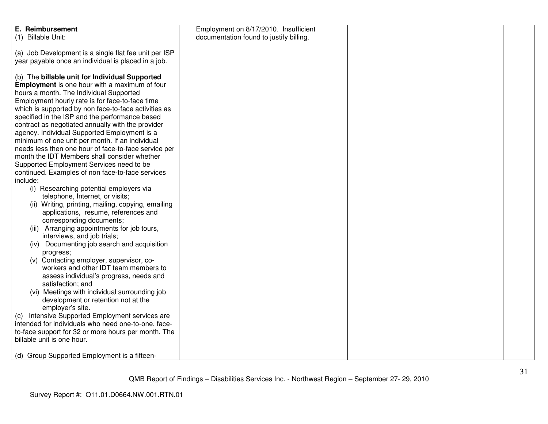| E. Reimbursement<br>(1) Billable Unit:                                                                                                                                                                                                                                                                                                                                                                                                                                                                                                                                                                                                                                                                                                                                                                                                                                                                                                                                                                                                                                                                                                                                                                                                                                                                                                                                                                                                                                         | Employment on 8/17/2010. Insufficient<br>documentation found to justify billing. |  |
|--------------------------------------------------------------------------------------------------------------------------------------------------------------------------------------------------------------------------------------------------------------------------------------------------------------------------------------------------------------------------------------------------------------------------------------------------------------------------------------------------------------------------------------------------------------------------------------------------------------------------------------------------------------------------------------------------------------------------------------------------------------------------------------------------------------------------------------------------------------------------------------------------------------------------------------------------------------------------------------------------------------------------------------------------------------------------------------------------------------------------------------------------------------------------------------------------------------------------------------------------------------------------------------------------------------------------------------------------------------------------------------------------------------------------------------------------------------------------------|----------------------------------------------------------------------------------|--|
| (a) Job Development is a single flat fee unit per ISP<br>year payable once an individual is placed in a job.                                                                                                                                                                                                                                                                                                                                                                                                                                                                                                                                                                                                                                                                                                                                                                                                                                                                                                                                                                                                                                                                                                                                                                                                                                                                                                                                                                   |                                                                                  |  |
| (b) The billable unit for Individual Supported<br><b>Employment</b> is one hour with a maximum of four<br>hours a month. The Individual Supported<br>Employment hourly rate is for face-to-face time<br>which is supported by non face-to-face activities as<br>specified in the ISP and the performance based<br>contract as negotiated annually with the provider<br>agency. Individual Supported Employment is a<br>minimum of one unit per month. If an individual<br>needs less then one hour of face-to-face service per<br>month the IDT Members shall consider whether<br>Supported Employment Services need to be<br>continued. Examples of non face-to-face services<br>include:<br>(i) Researching potential employers via<br>telephone, Internet, or visits;<br>(ii) Writing, printing, mailing, copying, emailing<br>applications, resume, references and<br>corresponding documents;<br>(iii) Arranging appointments for job tours,<br>interviews, and job trials;<br>(iv) Documenting job search and acquisition<br>progress;<br>(v) Contacting employer, supervisor, co-<br>workers and other IDT team members to<br>assess individual's progress, needs and<br>satisfaction; and<br>(vi) Meetings with individual surrounding job<br>development or retention not at the<br>employer's site.<br>(c) Intensive Supported Employment services are<br>intended for individuals who need one-to-one, face-<br>to-face support for 32 or more hours per month. The |                                                                                  |  |
| billable unit is one hour.                                                                                                                                                                                                                                                                                                                                                                                                                                                                                                                                                                                                                                                                                                                                                                                                                                                                                                                                                                                                                                                                                                                                                                                                                                                                                                                                                                                                                                                     |                                                                                  |  |
| (d) Group Supported Employment is a fifteen-                                                                                                                                                                                                                                                                                                                                                                                                                                                                                                                                                                                                                                                                                                                                                                                                                                                                                                                                                                                                                                                                                                                                                                                                                                                                                                                                                                                                                                   |                                                                                  |  |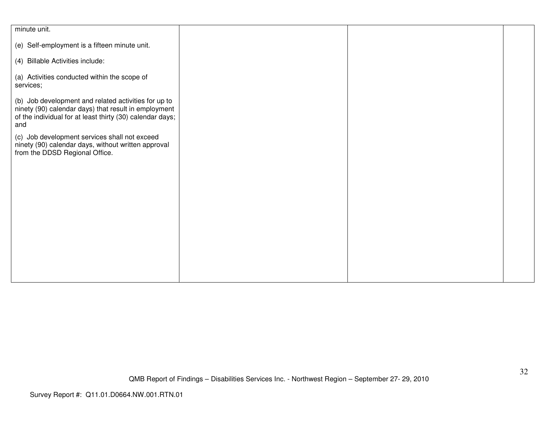| minute unit.                                              |  |  |
|-----------------------------------------------------------|--|--|
|                                                           |  |  |
| (e) Self-employment is a fifteen minute unit.             |  |  |
|                                                           |  |  |
| (4) Billable Activities include:                          |  |  |
|                                                           |  |  |
| (a) Activities conducted within the scope of              |  |  |
|                                                           |  |  |
| services;                                                 |  |  |
|                                                           |  |  |
| (b) Job development and related activities for up to      |  |  |
| ninety (90) calendar days) that result in employment      |  |  |
| of the individual for at least thirty (30) calendar days; |  |  |
| and                                                       |  |  |
|                                                           |  |  |
| (c) Job development services shall not exceed             |  |  |
| ninety (90) calendar days, without written approval       |  |  |
| from the DDSD Regional Office.                            |  |  |
|                                                           |  |  |
|                                                           |  |  |
|                                                           |  |  |
|                                                           |  |  |
|                                                           |  |  |
|                                                           |  |  |
|                                                           |  |  |
|                                                           |  |  |
|                                                           |  |  |
|                                                           |  |  |
|                                                           |  |  |
|                                                           |  |  |
|                                                           |  |  |
|                                                           |  |  |
|                                                           |  |  |
|                                                           |  |  |
|                                                           |  |  |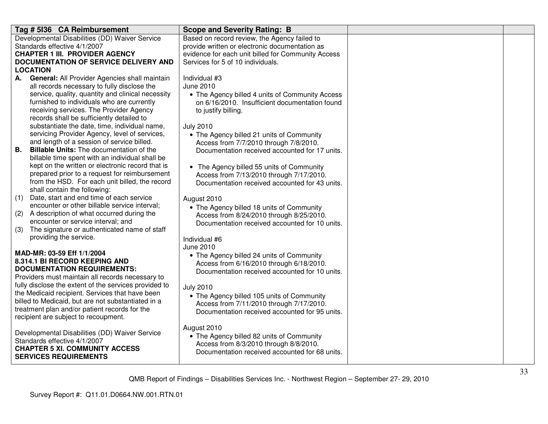| Tag # 5136 CA Reimbursement                                                                           | <b>Scope and Severity Rating: B</b>                                                 |  |
|-------------------------------------------------------------------------------------------------------|-------------------------------------------------------------------------------------|--|
| Developmental Disabilities (DD) Waiver Service                                                        | Based on record review, the Agency failed to                                        |  |
| Standards effective 4/1/2007                                                                          | provide written or electronic documentation as                                      |  |
| <b>CHAPTER 1 III. PROVIDER AGENCY</b>                                                                 | evidence for each unit billed for Community Access                                  |  |
| DOCUMENTATION OF SERVICE DELIVERY AND                                                                 | Services for 5 of 10 individuals.                                                   |  |
| <b>LOCATION</b>                                                                                       |                                                                                     |  |
| <b>General: All Provider Agencies shall maintain</b><br>А.                                            | Individual #3                                                                       |  |
| all records necessary to fully disclose the                                                           | June 2010                                                                           |  |
| service, quality, quantity and clinical necessity                                                     | • The Agency billed 4 units of Community Access                                     |  |
| furnished to individuals who are currently                                                            | on 6/16/2010. Insufficient documentation found                                      |  |
| receiving services. The Provider Agency                                                               | to justify billing.                                                                 |  |
| records shall be sufficiently detailed to<br>substantiate the date, time, individual name,            | <b>July 2010</b>                                                                    |  |
| servicing Provider Agency, level of services,                                                         |                                                                                     |  |
| and length of a session of service billed.                                                            | • The Agency billed 21 units of Community<br>Access from 7/7/2010 through 7/8/2010. |  |
| <b>B.</b><br><b>Billable Units:</b> The documentation of the                                          | Documentation received accounted for 17 units.                                      |  |
| billable time spent with an individual shall be                                                       |                                                                                     |  |
| kept on the written or electronic record that is                                                      | • The Agency billed 55 units of Community                                           |  |
| prepared prior to a request for reimbursement                                                         | Access from 7/13/2010 through 7/17/2010.                                            |  |
| from the HSD. For each unit billed, the record                                                        | Documentation received accounted for 43 units.                                      |  |
| shall contain the following:                                                                          |                                                                                     |  |
| Date, start and end time of each service<br>(1)                                                       | August 2010                                                                         |  |
| encounter or other billable service interval;                                                         | • The Agency billed 18 units of Community                                           |  |
| (2)<br>A description of what occurred during the                                                      | Access from 8/24/2010 through 8/25/2010.                                            |  |
| encounter or service interval; and                                                                    | Documentation received accounted for 10 units.                                      |  |
| (3)<br>The signature or authenticated name of staff                                                   |                                                                                     |  |
| providing the service.                                                                                | Individual #6                                                                       |  |
|                                                                                                       | June 2010                                                                           |  |
| MAD-MR: 03-59 Eff 1/1/2004                                                                            | • The Agency billed 24 units of Community                                           |  |
| 8.314.1 BI RECORD KEEPING AND                                                                         | Access from 6/16/2010 through 6/18/2010.                                            |  |
| <b>DOCUMENTATION REQUIREMENTS:</b>                                                                    | Documentation received accounted for 10 units.                                      |  |
| Providers must maintain all records necessary to                                                      |                                                                                     |  |
| fully disclose the extent of the services provided to                                                 | <b>July 2010</b>                                                                    |  |
| the Medicaid recipient. Services that have been<br>billed to Medicaid, but are not substantiated in a | • The Agency billed 105 units of Community                                          |  |
| treatment plan and/or patient records for the                                                         | Access from 7/11/2010 through 7/17/2010.                                            |  |
| recipient are subject to recoupment.                                                                  | Documentation received accounted for 95 units.                                      |  |
|                                                                                                       |                                                                                     |  |
| Developmental Disabilities (DD) Waiver Service                                                        | August 2010                                                                         |  |
| Standards effective 4/1/2007                                                                          | • The Agency billed 82 units of Community                                           |  |
| <b>CHAPTER 5 XI. COMMUNITY ACCESS</b>                                                                 | Access from 8/3/2010 through 8/8/2010.                                              |  |
| <b>SERVICES REQUIREMENTS</b>                                                                          | Documentation received accounted for 68 units.                                      |  |
|                                                                                                       |                                                                                     |  |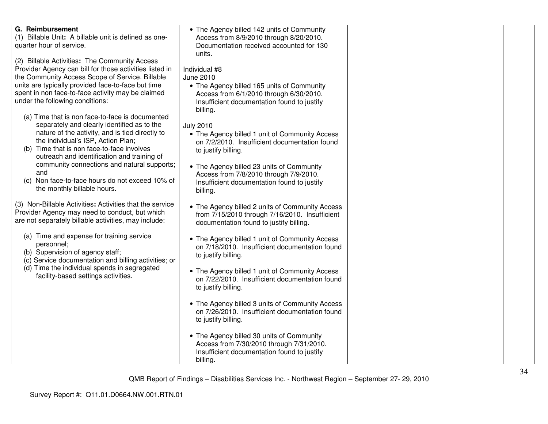| G. Reimbursement<br>(1) Billable Unit: A billable unit is defined as one-<br>quarter hour of service.                                                                                                                                                                                                                                                                                                                                                                                                                                                                                                                                                                                                                                        | • The Agency billed 142 units of Community<br>Access from 8/9/2010 through 8/20/2010.<br>Documentation received accounted for 130<br>units.                                                                                                                                                                                                                                                                                                                                    |  |
|----------------------------------------------------------------------------------------------------------------------------------------------------------------------------------------------------------------------------------------------------------------------------------------------------------------------------------------------------------------------------------------------------------------------------------------------------------------------------------------------------------------------------------------------------------------------------------------------------------------------------------------------------------------------------------------------------------------------------------------------|--------------------------------------------------------------------------------------------------------------------------------------------------------------------------------------------------------------------------------------------------------------------------------------------------------------------------------------------------------------------------------------------------------------------------------------------------------------------------------|--|
| (2) Billable Activities: The Community Access<br>Provider Agency can bill for those activities listed in<br>the Community Access Scope of Service. Billable<br>units are typically provided face-to-face but time<br>spent in non face-to-face activity may be claimed<br>under the following conditions:<br>(a) Time that is non face-to-face is documented<br>separately and clearly identified as to the<br>nature of the activity, and is tied directly to<br>the individual's ISP, Action Plan;<br>Time that is non face-to-face involves<br>(b)<br>outreach and identification and training of<br>community connections and natural supports;<br>and<br>(c) Non face-to-face hours do not exceed 10% of<br>the monthly billable hours. | Individual #8<br>June 2010<br>• The Agency billed 165 units of Community<br>Access from 6/1/2010 through 6/30/2010.<br>Insufficient documentation found to justify<br>billing.<br><b>July 2010</b><br>• The Agency billed 1 unit of Community Access<br>on 7/2/2010. Insufficient documentation found<br>to justify billing.<br>• The Agency billed 23 units of Community<br>Access from 7/8/2010 through 7/9/2010.<br>Insufficient documentation found to justify<br>billing. |  |
| (3) Non-Billable Activities: Activities that the service<br>Provider Agency may need to conduct, but which<br>are not separately billable activities, may include:<br>(a) Time and expense for training service<br>personnel;                                                                                                                                                                                                                                                                                                                                                                                                                                                                                                                | • The Agency billed 2 units of Community Access<br>from 7/15/2010 through 7/16/2010. Insufficient<br>documentation found to justify billing.<br>• The Agency billed 1 unit of Community Access<br>on 7/18/2010. Insufficient documentation found                                                                                                                                                                                                                               |  |
| (b) Supervision of agency staff;<br>(c) Service documentation and billing activities; or<br>(d) Time the individual spends in segregated<br>facility-based settings activities.                                                                                                                                                                                                                                                                                                                                                                                                                                                                                                                                                              | to justify billing.<br>• The Agency billed 1 unit of Community Access<br>on 7/22/2010. Insufficient documentation found<br>to justify billing.                                                                                                                                                                                                                                                                                                                                 |  |
|                                                                                                                                                                                                                                                                                                                                                                                                                                                                                                                                                                                                                                                                                                                                              | • The Agency billed 3 units of Community Access<br>on 7/26/2010. Insufficient documentation found<br>to justify billing.<br>• The Agency billed 30 units of Community<br>Access from 7/30/2010 through 7/31/2010.<br>Insufficient documentation found to justify<br>billing.                                                                                                                                                                                                   |  |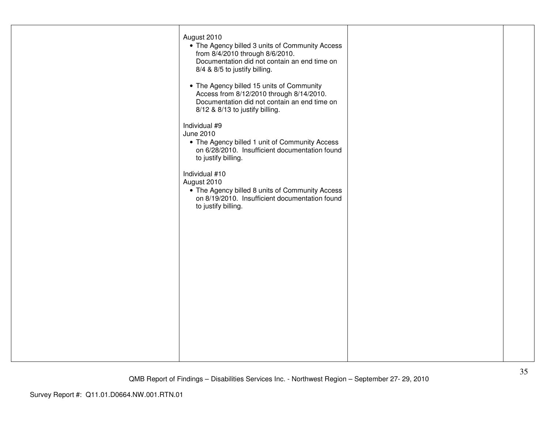| August 2010<br>• The Agency billed 3 units of Community Access<br>from 8/4/2010 through 8/6/2010.<br>Documentation did not contain an end time on<br>8/4 & 8/5 to justify billing. |  |
|------------------------------------------------------------------------------------------------------------------------------------------------------------------------------------|--|
| • The Agency billed 15 units of Community<br>Access from 8/12/2010 through 8/14/2010.<br>Documentation did not contain an end time on<br>8/12 & 8/13 to justify billing.           |  |
| Individual #9<br>June 2010<br>• The Agency billed 1 unit of Community Access<br>on 6/28/2010. Insufficient documentation found<br>to justify billing.                              |  |
| Individual #10<br>August 2010<br>• The Agency billed 8 units of Community Access<br>on 8/19/2010. Insufficient documentation found<br>to justify billing.                          |  |
|                                                                                                                                                                                    |  |
|                                                                                                                                                                                    |  |
|                                                                                                                                                                                    |  |
|                                                                                                                                                                                    |  |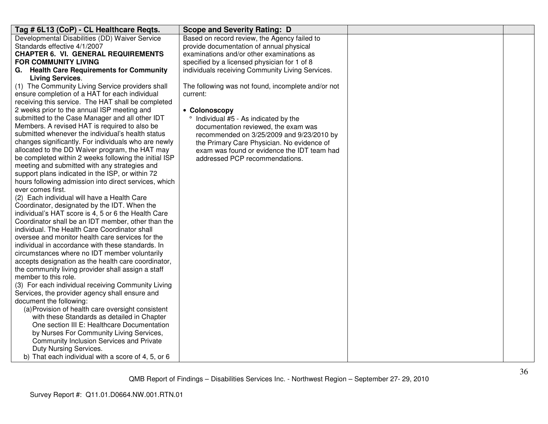| Developmental Disabilities (DD) Waiver Service<br>Based on record review, the Agency failed to<br>Standards effective 4/1/2007<br>provide documentation of annual physical<br><b>CHAPTER 6. VI. GENERAL REQUIREMENTS</b><br>examinations and/or other examinations as<br>specified by a licensed physician for 1 of 8<br><b>FOR COMMUNITY LIVING</b><br>G. Health Care Requirements for Community<br>individuals receiving Community Living Services.<br><b>Living Services.</b><br>(1) The Community Living Service providers shall<br>The following was not found, incomplete and/or not<br>ensure completion of a HAT for each individual<br>current:<br>receiving this service. The HAT shall be completed<br>2 weeks prior to the annual ISP meeting and<br>• Colonoscopy<br>submitted to the Case Manager and all other IDT<br>Individual #5 - As indicated by the<br>Members. A revised HAT is required to also be<br>documentation reviewed, the exam was<br>submitted whenever the individual's health status<br>recommended on 3/25/2009 and 9/23/2010 by<br>changes significantly. For individuals who are newly<br>the Primary Care Physician. No evidence of<br>allocated to the DD Waiver program, the HAT may<br>exam was found or evidence the IDT team had<br>be completed within 2 weeks following the initial ISP<br>addressed PCP recommendations.<br>meeting and submitted with any strategies and<br>support plans indicated in the ISP, or within 72<br>hours following admission into direct services, which<br>ever comes first.<br>(2) Each individual will have a Health Care<br>Coordinator, designated by the IDT. When the<br>individual's HAT score is 4, 5 or 6 the Health Care<br>Coordinator shall be an IDT member, other than the<br>individual. The Health Care Coordinator shall<br>oversee and monitor health care services for the<br>individual in accordance with these standards. In<br>circumstances where no IDT member voluntarily<br>accepts designation as the health care coordinator,<br>the community living provider shall assign a staff<br>member to this role.<br>(3) For each individual receiving Community Living<br>Services, the provider agency shall ensure and<br>document the following:<br>(a) Provision of health care oversight consistent<br>with these Standards as detailed in Chapter<br>One section III E: Healthcare Documentation<br>by Nurses For Community Living Services,<br>Community Inclusion Services and Private | Tag # 6L13 (CoP) - CL Healthcare Reqts. | <b>Scope and Severity Rating: D</b> |  |
|-----------------------------------------------------------------------------------------------------------------------------------------------------------------------------------------------------------------------------------------------------------------------------------------------------------------------------------------------------------------------------------------------------------------------------------------------------------------------------------------------------------------------------------------------------------------------------------------------------------------------------------------------------------------------------------------------------------------------------------------------------------------------------------------------------------------------------------------------------------------------------------------------------------------------------------------------------------------------------------------------------------------------------------------------------------------------------------------------------------------------------------------------------------------------------------------------------------------------------------------------------------------------------------------------------------------------------------------------------------------------------------------------------------------------------------------------------------------------------------------------------------------------------------------------------------------------------------------------------------------------------------------------------------------------------------------------------------------------------------------------------------------------------------------------------------------------------------------------------------------------------------------------------------------------------------------------------------------------------------------------------------------------------------------------------------------------------------------------------------------------------------------------------------------------------------------------------------------------------------------------------------------------------------------------------------------------------------------------------------------------------------------------------------------------------------------------------------------------------------------------------|-----------------------------------------|-------------------------------------|--|
|                                                                                                                                                                                                                                                                                                                                                                                                                                                                                                                                                                                                                                                                                                                                                                                                                                                                                                                                                                                                                                                                                                                                                                                                                                                                                                                                                                                                                                                                                                                                                                                                                                                                                                                                                                                                                                                                                                                                                                                                                                                                                                                                                                                                                                                                                                                                                                                                                                                                                                     |                                         |                                     |  |
|                                                                                                                                                                                                                                                                                                                                                                                                                                                                                                                                                                                                                                                                                                                                                                                                                                                                                                                                                                                                                                                                                                                                                                                                                                                                                                                                                                                                                                                                                                                                                                                                                                                                                                                                                                                                                                                                                                                                                                                                                                                                                                                                                                                                                                                                                                                                                                                                                                                                                                     |                                         |                                     |  |
|                                                                                                                                                                                                                                                                                                                                                                                                                                                                                                                                                                                                                                                                                                                                                                                                                                                                                                                                                                                                                                                                                                                                                                                                                                                                                                                                                                                                                                                                                                                                                                                                                                                                                                                                                                                                                                                                                                                                                                                                                                                                                                                                                                                                                                                                                                                                                                                                                                                                                                     |                                         |                                     |  |
|                                                                                                                                                                                                                                                                                                                                                                                                                                                                                                                                                                                                                                                                                                                                                                                                                                                                                                                                                                                                                                                                                                                                                                                                                                                                                                                                                                                                                                                                                                                                                                                                                                                                                                                                                                                                                                                                                                                                                                                                                                                                                                                                                                                                                                                                                                                                                                                                                                                                                                     |                                         |                                     |  |
|                                                                                                                                                                                                                                                                                                                                                                                                                                                                                                                                                                                                                                                                                                                                                                                                                                                                                                                                                                                                                                                                                                                                                                                                                                                                                                                                                                                                                                                                                                                                                                                                                                                                                                                                                                                                                                                                                                                                                                                                                                                                                                                                                                                                                                                                                                                                                                                                                                                                                                     |                                         |                                     |  |
|                                                                                                                                                                                                                                                                                                                                                                                                                                                                                                                                                                                                                                                                                                                                                                                                                                                                                                                                                                                                                                                                                                                                                                                                                                                                                                                                                                                                                                                                                                                                                                                                                                                                                                                                                                                                                                                                                                                                                                                                                                                                                                                                                                                                                                                                                                                                                                                                                                                                                                     |                                         |                                     |  |
|                                                                                                                                                                                                                                                                                                                                                                                                                                                                                                                                                                                                                                                                                                                                                                                                                                                                                                                                                                                                                                                                                                                                                                                                                                                                                                                                                                                                                                                                                                                                                                                                                                                                                                                                                                                                                                                                                                                                                                                                                                                                                                                                                                                                                                                                                                                                                                                                                                                                                                     |                                         |                                     |  |
|                                                                                                                                                                                                                                                                                                                                                                                                                                                                                                                                                                                                                                                                                                                                                                                                                                                                                                                                                                                                                                                                                                                                                                                                                                                                                                                                                                                                                                                                                                                                                                                                                                                                                                                                                                                                                                                                                                                                                                                                                                                                                                                                                                                                                                                                                                                                                                                                                                                                                                     |                                         |                                     |  |
|                                                                                                                                                                                                                                                                                                                                                                                                                                                                                                                                                                                                                                                                                                                                                                                                                                                                                                                                                                                                                                                                                                                                                                                                                                                                                                                                                                                                                                                                                                                                                                                                                                                                                                                                                                                                                                                                                                                                                                                                                                                                                                                                                                                                                                                                                                                                                                                                                                                                                                     |                                         |                                     |  |
|                                                                                                                                                                                                                                                                                                                                                                                                                                                                                                                                                                                                                                                                                                                                                                                                                                                                                                                                                                                                                                                                                                                                                                                                                                                                                                                                                                                                                                                                                                                                                                                                                                                                                                                                                                                                                                                                                                                                                                                                                                                                                                                                                                                                                                                                                                                                                                                                                                                                                                     |                                         |                                     |  |
|                                                                                                                                                                                                                                                                                                                                                                                                                                                                                                                                                                                                                                                                                                                                                                                                                                                                                                                                                                                                                                                                                                                                                                                                                                                                                                                                                                                                                                                                                                                                                                                                                                                                                                                                                                                                                                                                                                                                                                                                                                                                                                                                                                                                                                                                                                                                                                                                                                                                                                     |                                         |                                     |  |
|                                                                                                                                                                                                                                                                                                                                                                                                                                                                                                                                                                                                                                                                                                                                                                                                                                                                                                                                                                                                                                                                                                                                                                                                                                                                                                                                                                                                                                                                                                                                                                                                                                                                                                                                                                                                                                                                                                                                                                                                                                                                                                                                                                                                                                                                                                                                                                                                                                                                                                     |                                         |                                     |  |
|                                                                                                                                                                                                                                                                                                                                                                                                                                                                                                                                                                                                                                                                                                                                                                                                                                                                                                                                                                                                                                                                                                                                                                                                                                                                                                                                                                                                                                                                                                                                                                                                                                                                                                                                                                                                                                                                                                                                                                                                                                                                                                                                                                                                                                                                                                                                                                                                                                                                                                     |                                         |                                     |  |
|                                                                                                                                                                                                                                                                                                                                                                                                                                                                                                                                                                                                                                                                                                                                                                                                                                                                                                                                                                                                                                                                                                                                                                                                                                                                                                                                                                                                                                                                                                                                                                                                                                                                                                                                                                                                                                                                                                                                                                                                                                                                                                                                                                                                                                                                                                                                                                                                                                                                                                     |                                         |                                     |  |
|                                                                                                                                                                                                                                                                                                                                                                                                                                                                                                                                                                                                                                                                                                                                                                                                                                                                                                                                                                                                                                                                                                                                                                                                                                                                                                                                                                                                                                                                                                                                                                                                                                                                                                                                                                                                                                                                                                                                                                                                                                                                                                                                                                                                                                                                                                                                                                                                                                                                                                     |                                         |                                     |  |
|                                                                                                                                                                                                                                                                                                                                                                                                                                                                                                                                                                                                                                                                                                                                                                                                                                                                                                                                                                                                                                                                                                                                                                                                                                                                                                                                                                                                                                                                                                                                                                                                                                                                                                                                                                                                                                                                                                                                                                                                                                                                                                                                                                                                                                                                                                                                                                                                                                                                                                     |                                         |                                     |  |
|                                                                                                                                                                                                                                                                                                                                                                                                                                                                                                                                                                                                                                                                                                                                                                                                                                                                                                                                                                                                                                                                                                                                                                                                                                                                                                                                                                                                                                                                                                                                                                                                                                                                                                                                                                                                                                                                                                                                                                                                                                                                                                                                                                                                                                                                                                                                                                                                                                                                                                     |                                         |                                     |  |
|                                                                                                                                                                                                                                                                                                                                                                                                                                                                                                                                                                                                                                                                                                                                                                                                                                                                                                                                                                                                                                                                                                                                                                                                                                                                                                                                                                                                                                                                                                                                                                                                                                                                                                                                                                                                                                                                                                                                                                                                                                                                                                                                                                                                                                                                                                                                                                                                                                                                                                     |                                         |                                     |  |
|                                                                                                                                                                                                                                                                                                                                                                                                                                                                                                                                                                                                                                                                                                                                                                                                                                                                                                                                                                                                                                                                                                                                                                                                                                                                                                                                                                                                                                                                                                                                                                                                                                                                                                                                                                                                                                                                                                                                                                                                                                                                                                                                                                                                                                                                                                                                                                                                                                                                                                     |                                         |                                     |  |
|                                                                                                                                                                                                                                                                                                                                                                                                                                                                                                                                                                                                                                                                                                                                                                                                                                                                                                                                                                                                                                                                                                                                                                                                                                                                                                                                                                                                                                                                                                                                                                                                                                                                                                                                                                                                                                                                                                                                                                                                                                                                                                                                                                                                                                                                                                                                                                                                                                                                                                     |                                         |                                     |  |
|                                                                                                                                                                                                                                                                                                                                                                                                                                                                                                                                                                                                                                                                                                                                                                                                                                                                                                                                                                                                                                                                                                                                                                                                                                                                                                                                                                                                                                                                                                                                                                                                                                                                                                                                                                                                                                                                                                                                                                                                                                                                                                                                                                                                                                                                                                                                                                                                                                                                                                     |                                         |                                     |  |
|                                                                                                                                                                                                                                                                                                                                                                                                                                                                                                                                                                                                                                                                                                                                                                                                                                                                                                                                                                                                                                                                                                                                                                                                                                                                                                                                                                                                                                                                                                                                                                                                                                                                                                                                                                                                                                                                                                                                                                                                                                                                                                                                                                                                                                                                                                                                                                                                                                                                                                     |                                         |                                     |  |
|                                                                                                                                                                                                                                                                                                                                                                                                                                                                                                                                                                                                                                                                                                                                                                                                                                                                                                                                                                                                                                                                                                                                                                                                                                                                                                                                                                                                                                                                                                                                                                                                                                                                                                                                                                                                                                                                                                                                                                                                                                                                                                                                                                                                                                                                                                                                                                                                                                                                                                     |                                         |                                     |  |
|                                                                                                                                                                                                                                                                                                                                                                                                                                                                                                                                                                                                                                                                                                                                                                                                                                                                                                                                                                                                                                                                                                                                                                                                                                                                                                                                                                                                                                                                                                                                                                                                                                                                                                                                                                                                                                                                                                                                                                                                                                                                                                                                                                                                                                                                                                                                                                                                                                                                                                     |                                         |                                     |  |
|                                                                                                                                                                                                                                                                                                                                                                                                                                                                                                                                                                                                                                                                                                                                                                                                                                                                                                                                                                                                                                                                                                                                                                                                                                                                                                                                                                                                                                                                                                                                                                                                                                                                                                                                                                                                                                                                                                                                                                                                                                                                                                                                                                                                                                                                                                                                                                                                                                                                                                     |                                         |                                     |  |
|                                                                                                                                                                                                                                                                                                                                                                                                                                                                                                                                                                                                                                                                                                                                                                                                                                                                                                                                                                                                                                                                                                                                                                                                                                                                                                                                                                                                                                                                                                                                                                                                                                                                                                                                                                                                                                                                                                                                                                                                                                                                                                                                                                                                                                                                                                                                                                                                                                                                                                     |                                         |                                     |  |
|                                                                                                                                                                                                                                                                                                                                                                                                                                                                                                                                                                                                                                                                                                                                                                                                                                                                                                                                                                                                                                                                                                                                                                                                                                                                                                                                                                                                                                                                                                                                                                                                                                                                                                                                                                                                                                                                                                                                                                                                                                                                                                                                                                                                                                                                                                                                                                                                                                                                                                     |                                         |                                     |  |
|                                                                                                                                                                                                                                                                                                                                                                                                                                                                                                                                                                                                                                                                                                                                                                                                                                                                                                                                                                                                                                                                                                                                                                                                                                                                                                                                                                                                                                                                                                                                                                                                                                                                                                                                                                                                                                                                                                                                                                                                                                                                                                                                                                                                                                                                                                                                                                                                                                                                                                     |                                         |                                     |  |
|                                                                                                                                                                                                                                                                                                                                                                                                                                                                                                                                                                                                                                                                                                                                                                                                                                                                                                                                                                                                                                                                                                                                                                                                                                                                                                                                                                                                                                                                                                                                                                                                                                                                                                                                                                                                                                                                                                                                                                                                                                                                                                                                                                                                                                                                                                                                                                                                                                                                                                     |                                         |                                     |  |
|                                                                                                                                                                                                                                                                                                                                                                                                                                                                                                                                                                                                                                                                                                                                                                                                                                                                                                                                                                                                                                                                                                                                                                                                                                                                                                                                                                                                                                                                                                                                                                                                                                                                                                                                                                                                                                                                                                                                                                                                                                                                                                                                                                                                                                                                                                                                                                                                                                                                                                     |                                         |                                     |  |
|                                                                                                                                                                                                                                                                                                                                                                                                                                                                                                                                                                                                                                                                                                                                                                                                                                                                                                                                                                                                                                                                                                                                                                                                                                                                                                                                                                                                                                                                                                                                                                                                                                                                                                                                                                                                                                                                                                                                                                                                                                                                                                                                                                                                                                                                                                                                                                                                                                                                                                     |                                         |                                     |  |
|                                                                                                                                                                                                                                                                                                                                                                                                                                                                                                                                                                                                                                                                                                                                                                                                                                                                                                                                                                                                                                                                                                                                                                                                                                                                                                                                                                                                                                                                                                                                                                                                                                                                                                                                                                                                                                                                                                                                                                                                                                                                                                                                                                                                                                                                                                                                                                                                                                                                                                     |                                         |                                     |  |
|                                                                                                                                                                                                                                                                                                                                                                                                                                                                                                                                                                                                                                                                                                                                                                                                                                                                                                                                                                                                                                                                                                                                                                                                                                                                                                                                                                                                                                                                                                                                                                                                                                                                                                                                                                                                                                                                                                                                                                                                                                                                                                                                                                                                                                                                                                                                                                                                                                                                                                     |                                         |                                     |  |
|                                                                                                                                                                                                                                                                                                                                                                                                                                                                                                                                                                                                                                                                                                                                                                                                                                                                                                                                                                                                                                                                                                                                                                                                                                                                                                                                                                                                                                                                                                                                                                                                                                                                                                                                                                                                                                                                                                                                                                                                                                                                                                                                                                                                                                                                                                                                                                                                                                                                                                     |                                         |                                     |  |
|                                                                                                                                                                                                                                                                                                                                                                                                                                                                                                                                                                                                                                                                                                                                                                                                                                                                                                                                                                                                                                                                                                                                                                                                                                                                                                                                                                                                                                                                                                                                                                                                                                                                                                                                                                                                                                                                                                                                                                                                                                                                                                                                                                                                                                                                                                                                                                                                                                                                                                     |                                         |                                     |  |
|                                                                                                                                                                                                                                                                                                                                                                                                                                                                                                                                                                                                                                                                                                                                                                                                                                                                                                                                                                                                                                                                                                                                                                                                                                                                                                                                                                                                                                                                                                                                                                                                                                                                                                                                                                                                                                                                                                                                                                                                                                                                                                                                                                                                                                                                                                                                                                                                                                                                                                     |                                         |                                     |  |
|                                                                                                                                                                                                                                                                                                                                                                                                                                                                                                                                                                                                                                                                                                                                                                                                                                                                                                                                                                                                                                                                                                                                                                                                                                                                                                                                                                                                                                                                                                                                                                                                                                                                                                                                                                                                                                                                                                                                                                                                                                                                                                                                                                                                                                                                                                                                                                                                                                                                                                     |                                         |                                     |  |
|                                                                                                                                                                                                                                                                                                                                                                                                                                                                                                                                                                                                                                                                                                                                                                                                                                                                                                                                                                                                                                                                                                                                                                                                                                                                                                                                                                                                                                                                                                                                                                                                                                                                                                                                                                                                                                                                                                                                                                                                                                                                                                                                                                                                                                                                                                                                                                                                                                                                                                     |                                         |                                     |  |
|                                                                                                                                                                                                                                                                                                                                                                                                                                                                                                                                                                                                                                                                                                                                                                                                                                                                                                                                                                                                                                                                                                                                                                                                                                                                                                                                                                                                                                                                                                                                                                                                                                                                                                                                                                                                                                                                                                                                                                                                                                                                                                                                                                                                                                                                                                                                                                                                                                                                                                     |                                         |                                     |  |
| b) That each individual with a score of 4, 5, or 6                                                                                                                                                                                                                                                                                                                                                                                                                                                                                                                                                                                                                                                                                                                                                                                                                                                                                                                                                                                                                                                                                                                                                                                                                                                                                                                                                                                                                                                                                                                                                                                                                                                                                                                                                                                                                                                                                                                                                                                                                                                                                                                                                                                                                                                                                                                                                                                                                                                  |                                         |                                     |  |
| Duty Nursing Services.                                                                                                                                                                                                                                                                                                                                                                                                                                                                                                                                                                                                                                                                                                                                                                                                                                                                                                                                                                                                                                                                                                                                                                                                                                                                                                                                                                                                                                                                                                                                                                                                                                                                                                                                                                                                                                                                                                                                                                                                                                                                                                                                                                                                                                                                                                                                                                                                                                                                              |                                         |                                     |  |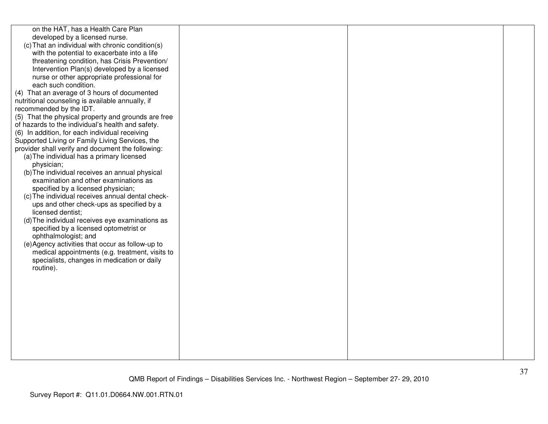| on the HAT, has a Health Care Plan<br>developed by a licensed nurse.<br>(c) That an individual with chronic condition(s)<br>with the potential to exacerbate into a life<br>threatening condition, has Crisis Prevention/<br>Intervention Plan(s) developed by a licensed<br>nurse or other appropriate professional for<br>each such condition.<br>(4) That an average of 3 hours of documented<br>nutritional counseling is available annually, if<br>recommended by the IDT.<br>(5) That the physical property and grounds are free<br>of hazards to the individual's health and safety.<br>(6) In addition, for each individual receiving<br>Supported Living or Family Living Services, the<br>provider shall verify and document the following:<br>(a) The individual has a primary licensed<br>physician;<br>(b) The individual receives an annual physical<br>examination and other examinations as<br>specified by a licensed physician;<br>(c) The individual receives annual dental check-<br>ups and other check-ups as specified by a<br>licensed dentist;<br>(d) The individual receives eye examinations as<br>specified by a licensed optometrist or<br>ophthalmologist; and<br>(e) Agency activities that occur as follow-up to<br>medical appointments (e.g. treatment, visits to<br>specialists, changes in medication or daily<br>routine). |  |  |
|-----------------------------------------------------------------------------------------------------------------------------------------------------------------------------------------------------------------------------------------------------------------------------------------------------------------------------------------------------------------------------------------------------------------------------------------------------------------------------------------------------------------------------------------------------------------------------------------------------------------------------------------------------------------------------------------------------------------------------------------------------------------------------------------------------------------------------------------------------------------------------------------------------------------------------------------------------------------------------------------------------------------------------------------------------------------------------------------------------------------------------------------------------------------------------------------------------------------------------------------------------------------------------------------------------------------------------------------------------------------|--|--|
|                                                                                                                                                                                                                                                                                                                                                                                                                                                                                                                                                                                                                                                                                                                                                                                                                                                                                                                                                                                                                                                                                                                                                                                                                                                                                                                                                                 |  |  |
|                                                                                                                                                                                                                                                                                                                                                                                                                                                                                                                                                                                                                                                                                                                                                                                                                                                                                                                                                                                                                                                                                                                                                                                                                                                                                                                                                                 |  |  |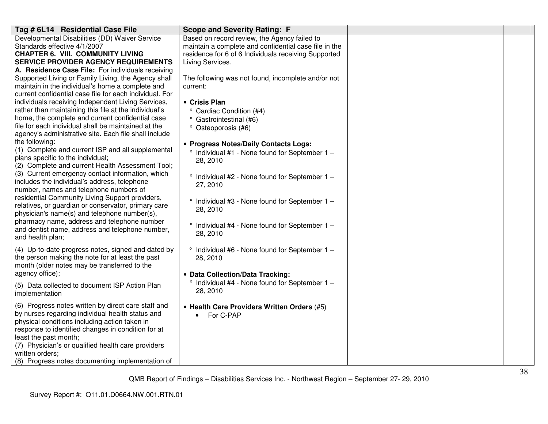| Tag # 6L14 Residential Case File                                                                                                                                                                                                                                                                                                                                                                                                                      | <b>Scope and Severity Rating: F</b>                                                                                                                                               |  |
|-------------------------------------------------------------------------------------------------------------------------------------------------------------------------------------------------------------------------------------------------------------------------------------------------------------------------------------------------------------------------------------------------------------------------------------------------------|-----------------------------------------------------------------------------------------------------------------------------------------------------------------------------------|--|
| Developmental Disabilities (DD) Waiver Service<br>Standards effective 4/1/2007<br><b>CHAPTER 6. VIII. COMMUNITY LIVING</b><br><b>SERVICE PROVIDER AGENCY REQUIREMENTS</b><br>A. Residence Case File: For individuals receiving                                                                                                                                                                                                                        | Based on record review, the Agency failed to<br>maintain a complete and confidential case file in the<br>residence for 6 of 6 Individuals receiving Supported<br>Living Services. |  |
| Supported Living or Family Living, the Agency shall<br>maintain in the individual's home a complete and<br>current confidential case file for each individual. For<br>individuals receiving Independent Living Services,<br>rather than maintaining this file at the individual's<br>home, the complete and current confidential case<br>file for each individual shall be maintained at the<br>agency's administrative site. Each file shall include | The following was not found, incomplete and/or not<br>current:<br>• Crisis Plan<br>° Cardiac Condition (#4)<br><sup>o</sup> Gastrointestinal (#6)<br>° Osteoporosis (#6)          |  |
| the following:<br>(1) Complete and current ISP and all supplemental<br>plans specific to the individual;<br>(2) Complete and current Health Assessment Tool;<br>(3) Current emergency contact information, which<br>includes the individual's address, telephone                                                                                                                                                                                      | • Progress Notes/Daily Contacts Logs:<br>$\degree$ Individual #1 - None found for September 1 -<br>28, 2010<br>$\degree$ Individual #2 - None found for September 1 -             |  |
| number, names and telephone numbers of<br>residential Community Living Support providers,<br>relatives, or guardian or conservator, primary care<br>physician's name(s) and telephone number(s),<br>pharmacy name, address and telephone number<br>and dentist name, address and telephone number,<br>and health plan;                                                                                                                                | 27, 2010<br>° Individual #3 - None found for September 1 -<br>28, 2010<br>° Individual #4 - None found for September 1 -<br>28, 2010                                              |  |
| (4) Up-to-date progress notes, signed and dated by<br>the person making the note for at least the past<br>month (older notes may be transferred to the<br>agency office);                                                                                                                                                                                                                                                                             | ° Individual #6 - None found for September 1 -<br>28, 2010<br>• Data Collection/Data Tracking:                                                                                    |  |
| (5) Data collected to document ISP Action Plan<br>implementation                                                                                                                                                                                                                                                                                                                                                                                      | $\degree$ Individual #4 - None found for September 1 -<br>28, 2010                                                                                                                |  |
| (6) Progress notes written by direct care staff and<br>by nurses regarding individual health status and<br>physical conditions including action taken in<br>response to identified changes in condition for at<br>least the past month;<br>(7) Physician's or qualified health care providers<br>written orders;<br>(8) Progress notes documenting implementation of                                                                                  | • Health Care Providers Written Orders (#5)<br>• For C-PAP                                                                                                                        |  |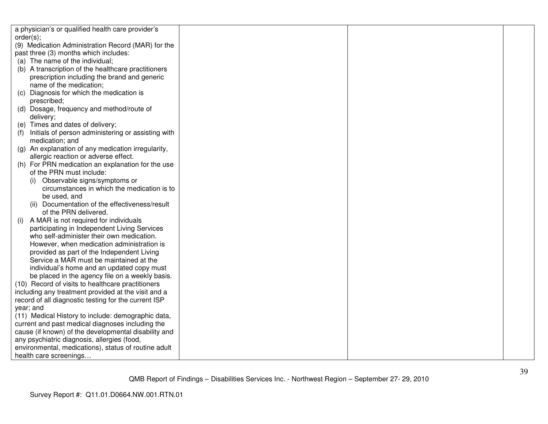| a physician's or qualified health care provider's                                         |  |  |
|-------------------------------------------------------------------------------------------|--|--|
| order(s);                                                                                 |  |  |
| (9) Medication Administration Record (MAR) for the                                        |  |  |
| past three (3) months which includes:                                                     |  |  |
| (a) The name of the individual;                                                           |  |  |
| (b) A transcription of the healthcare practitioners                                       |  |  |
| prescription including the brand and generic                                              |  |  |
| name of the medication;                                                                   |  |  |
| Diagnosis for which the medication is<br>(C)                                              |  |  |
| prescribed;                                                                               |  |  |
| (d) Dosage, frequency and method/route of                                                 |  |  |
| delivery;                                                                                 |  |  |
| (e) Times and dates of delivery;                                                          |  |  |
| Initials of person administering or assisting with<br>(f)                                 |  |  |
| medication; and                                                                           |  |  |
| (g) An explanation of any medication irregularity,                                        |  |  |
| allergic reaction or adverse effect.                                                      |  |  |
| (h) For PRN medication an explanation for the use                                         |  |  |
| of the PRN must include:                                                                  |  |  |
| Observable signs/symptoms or                                                              |  |  |
| circumstances in which the medication is to                                               |  |  |
| be used, and                                                                              |  |  |
| (ii) Documentation of the effectiveness/result<br>of the PRN delivered.                   |  |  |
|                                                                                           |  |  |
| A MAR is not required for individuals<br>(i)                                              |  |  |
| participating in Independent Living Services<br>who self-administer their own medication. |  |  |
| However, when medication administration is                                                |  |  |
| provided as part of the Independent Living                                                |  |  |
| Service a MAR must be maintained at the                                                   |  |  |
| individual's home and an updated copy must                                                |  |  |
| be placed in the agency file on a weekly basis.                                           |  |  |
| (10) Record of visits to healthcare practitioners                                         |  |  |
| including any treatment provided at the visit and a                                       |  |  |
| record of all diagnostic testing for the current ISP                                      |  |  |
| year; and                                                                                 |  |  |
| (11) Medical History to include: demographic data,                                        |  |  |
| current and past medical diagnoses including the                                          |  |  |
| cause (if known) of the developmental disability and                                      |  |  |
| any psychiatric diagnosis, allergies (food,                                               |  |  |
| environmental, medications), status of routine adult                                      |  |  |
| health care screenings                                                                    |  |  |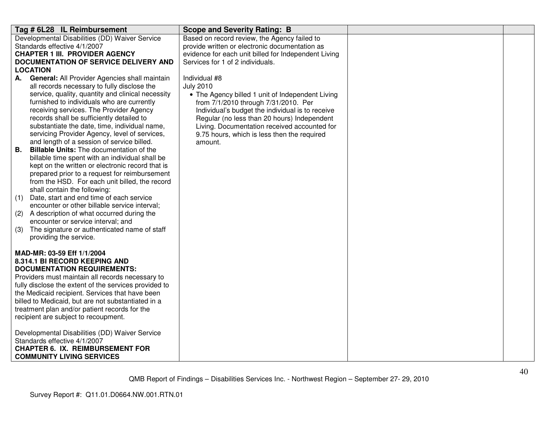| Tag # 6L28 IL Reimbursement                                                                | <b>Scope and Severity Rating: B</b>                                                         |  |
|--------------------------------------------------------------------------------------------|---------------------------------------------------------------------------------------------|--|
| Developmental Disabilities (DD) Waiver Service                                             | Based on record review, the Agency failed to                                                |  |
| Standards effective 4/1/2007                                                               | provide written or electronic documentation as                                              |  |
| <b>CHAPTER 1 III. PROVIDER AGENCY</b>                                                      | evidence for each unit billed for Independent Living                                        |  |
| <b>DOCUMENTATION OF SERVICE DELIVERY AND</b>                                               | Services for 1 of 2 individuals.                                                            |  |
| <b>LOCATION</b>                                                                            |                                                                                             |  |
| General: All Provider Agencies shall maintain<br>А.                                        | Individual #8                                                                               |  |
| all records necessary to fully disclose the                                                | <b>July 2010</b>                                                                            |  |
| service, quality, quantity and clinical necessity                                          | • The Agency billed 1 unit of Independent Living                                            |  |
| furnished to individuals who are currently                                                 | from 7/1/2010 through 7/31/2010. Per                                                        |  |
| receiving services. The Provider Agency                                                    | Individual's budget the individual is to receive                                            |  |
| records shall be sufficiently detailed to<br>substantiate the date, time, individual name, | Regular (no less than 20 hours) Independent                                                 |  |
| servicing Provider Agency, level of services,                                              | Living. Documentation received accounted for<br>9.75 hours, which is less then the required |  |
| and length of a session of service billed.                                                 | amount.                                                                                     |  |
| <b>Billable Units:</b> The documentation of the<br>В.                                      |                                                                                             |  |
| billable time spent with an individual shall be                                            |                                                                                             |  |
| kept on the written or electronic record that is                                           |                                                                                             |  |
| prepared prior to a request for reimbursement                                              |                                                                                             |  |
| from the HSD. For each unit billed, the record                                             |                                                                                             |  |
| shall contain the following:                                                               |                                                                                             |  |
| Date, start and end time of each service<br>(1)                                            |                                                                                             |  |
| encounter or other billable service interval;                                              |                                                                                             |  |
| A description of what occurred during the<br>(2)                                           |                                                                                             |  |
| encounter or service interval; and                                                         |                                                                                             |  |
| The signature or authenticated name of staff<br>(3)                                        |                                                                                             |  |
| providing the service.                                                                     |                                                                                             |  |
| MAD-MR: 03-59 Eff 1/1/2004                                                                 |                                                                                             |  |
| 8.314.1 BI RECORD KEEPING AND                                                              |                                                                                             |  |
| <b>DOCUMENTATION REQUIREMENTS:</b>                                                         |                                                                                             |  |
| Providers must maintain all records necessary to                                           |                                                                                             |  |
| fully disclose the extent of the services provided to                                      |                                                                                             |  |
| the Medicaid recipient. Services that have been                                            |                                                                                             |  |
| billed to Medicaid, but are not substantiated in a                                         |                                                                                             |  |
| treatment plan and/or patient records for the                                              |                                                                                             |  |
| recipient are subject to recoupment.                                                       |                                                                                             |  |
|                                                                                            |                                                                                             |  |
| Developmental Disabilities (DD) Waiver Service                                             |                                                                                             |  |
| Standards effective 4/1/2007                                                               |                                                                                             |  |
| <b>CHAPTER 6. IX. REIMBURSEMENT FOR</b>                                                    |                                                                                             |  |
| <b>COMMUNITY LIVING SERVICES</b>                                                           |                                                                                             |  |